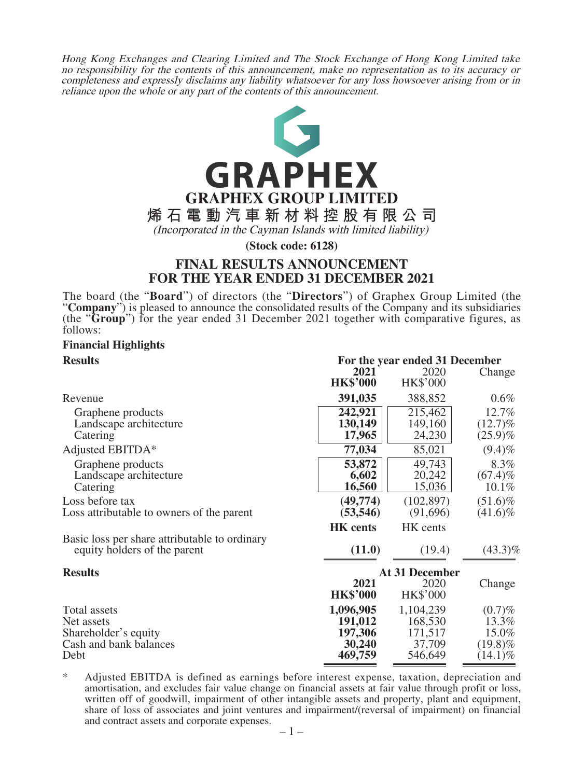Hong Kong Exchanges and Clearing Limited and The Stock Exchange of Hong Kong Limited take no responsibility for the contents of this announcement, make no representation as to its accuracy or completeness and expressly disclaims any liability whatsoever for any loss howsoever arising from or in reliance upon the whole or any part of the contents of this announcement.



**(Stock code: 6128)**

### **FINAL RESULTS ANNOUNCEMENT FOR THE YEAR ENDED 31 DECEMBER 2021**

The board (the "**Board**") of directors (the "**Directors**") of Graphex Group Limited (the "**Company**") is pleased to announce the consolidated results of the Company and its subsidiaries (the "**Group**") for the year ended 31 December 2021 together with comparative figures, as follows:

### **Financial Highlights**

| <b>Results</b>                                | For the year ended 31 December |                       |            |
|-----------------------------------------------|--------------------------------|-----------------------|------------|
|                                               | 2021                           | 2020                  | Change     |
|                                               | <b>HK\$'000</b>                | <b>HK\$'000</b>       |            |
| Revenue                                       | 391,035                        | 388,852               | $0.6\%$    |
| Graphene products                             | 242,921                        | 215,462               | 12.7%      |
| Landscape architecture                        | 130,149                        | 149,160               | $(12.7)\%$ |
| Catering                                      | 17,965                         | 24,230                | $(25.9)\%$ |
| Adjusted EBITDA*                              | 77,034                         | 85,021                | $(9.4)\%$  |
| Graphene products                             | 53,872                         | 49,743                | 8.3%       |
| Landscape architecture                        | 6,602                          | 20,242                | $(67.4)\%$ |
| Catering                                      | 16,560                         | 15,036                | $10.1\%$   |
| Loss before tax                               | (49, 774)                      | (102, 897)            | $(51.6)\%$ |
| Loss attributable to owners of the parent     | (53, 546)                      | (91,696)              | $(41.6)\%$ |
|                                               | <b>HK</b> cents                | HK cents              |            |
| Basic loss per share attributable to ordinary |                                |                       |            |
| equity holders of the parent                  | (11.0)                         | (19.4)                | $(43.3)\%$ |
| <b>Results</b>                                |                                | <b>At 31 December</b> |            |
|                                               | 2021                           | 2020                  | Change     |
|                                               | <b>HK\$'000</b>                | <b>HK\$'000</b>       |            |
|                                               |                                |                       |            |
| Total assets                                  | 1,096,905                      | 1,104,239             | $(0.7)\%$  |
| Net assets                                    | 191,012                        | 168,530               | 13.3%      |
| Shareholder's equity                          | 197,306                        | 171,517               | 15.0%      |
| Cash and bank balances                        | 30,240                         | 37,709                | $(19.8)\%$ |
| Debt                                          | 469,759                        | 546,649               | $(14.1)\%$ |

\* Adjusted EBITDA is defined as earnings before interest expense, taxation, depreciation and amortisation, and excludes fair value change on financial assets at fair value through profit or loss, written off of goodwill, impairment of other intangible assets and property, plant and equipment, share of loss of associates and joint ventures and impairment/(reversal of impairment) on financial and contract assets and corporate expenses.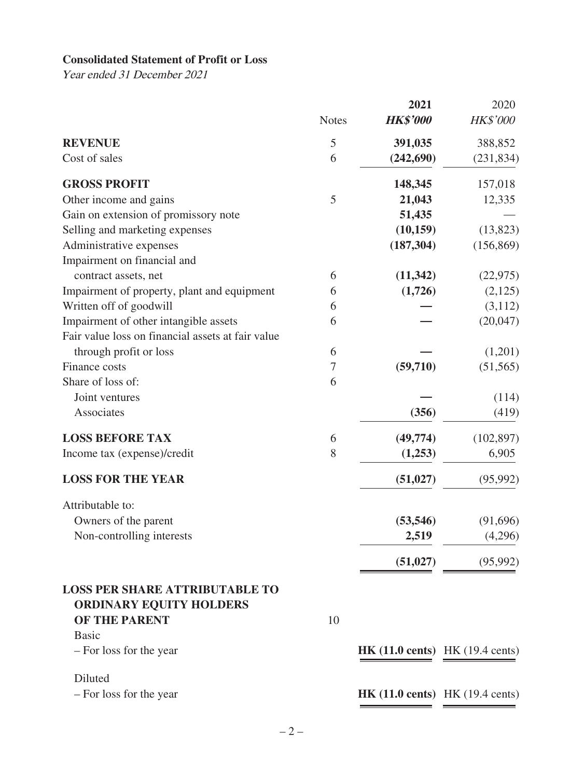### **Consolidated Statement of Profit or Loss**

Year ended 31 December 2021

|                                                   |              | 2021                                                       | 2020            |
|---------------------------------------------------|--------------|------------------------------------------------------------|-----------------|
|                                                   | <b>Notes</b> | <b>HK\$'000</b>                                            | <b>HK\$'000</b> |
| <b>REVENUE</b>                                    | 5            | 391,035                                                    | 388,852         |
| Cost of sales                                     | 6            | (242, 690)                                                 | (231, 834)      |
| <b>GROSS PROFIT</b>                               |              | 148,345                                                    | 157,018         |
| Other income and gains                            | 5            | 21,043                                                     | 12,335          |
| Gain on extension of promissory note              |              | 51,435                                                     |                 |
| Selling and marketing expenses                    |              | (10, 159)                                                  | (13,823)        |
| Administrative expenses                           |              | (187, 304)                                                 | (156, 869)      |
| Impairment on financial and                       |              |                                                            |                 |
| contract assets, net                              | 6            | (11, 342)                                                  | (22, 975)       |
| Impairment of property, plant and equipment       | 6            | (1,726)                                                    | (2,125)         |
| Written off of goodwill                           | 6            |                                                            | (3,112)         |
| Impairment of other intangible assets             | 6            |                                                            | (20,047)        |
| Fair value loss on financial assets at fair value |              |                                                            |                 |
| through profit or loss                            | 6            |                                                            | (1,201)         |
| Finance costs                                     | 7            | (59,710)                                                   | (51, 565)       |
| Share of loss of:                                 | 6            |                                                            |                 |
| Joint ventures                                    |              |                                                            | (114)           |
| Associates                                        |              | (356)                                                      | (419)           |
| <b>LOSS BEFORE TAX</b>                            | 6            | (49,774)                                                   | (102, 897)      |
| Income tax (expense)/credit                       | 8            | (1,253)                                                    | 6,905           |
| <b>LOSS FOR THE YEAR</b>                          |              | (51, 027)                                                  | (95, 992)       |
| Attributable to:                                  |              |                                                            |                 |
| Owners of the parent                              |              | (53, 546)                                                  | (91,696)        |
| Non-controlling interests                         |              | 2,519                                                      | (4,296)         |
|                                                   |              | (51, 027)                                                  | (95,992)        |
| <b>LOSS PER SHARE ATTRIBUTABLE TO</b>             |              |                                                            |                 |
| <b>ORDINARY EQUITY HOLDERS</b>                    |              |                                                            |                 |
| OF THE PARENT                                     | 10           |                                                            |                 |
| <b>Basic</b>                                      |              |                                                            |                 |
| - For loss for the year                           |              | <b>HK</b> $(11.0 \text{ cents})$ HK $(19.4 \text{ cents})$ |                 |
| Diluted                                           |              |                                                            |                 |
| - For loss for the year                           |              | <b>HK</b> $(11.0 \text{ cents})$ HK $(19.4 \text{ cents})$ |                 |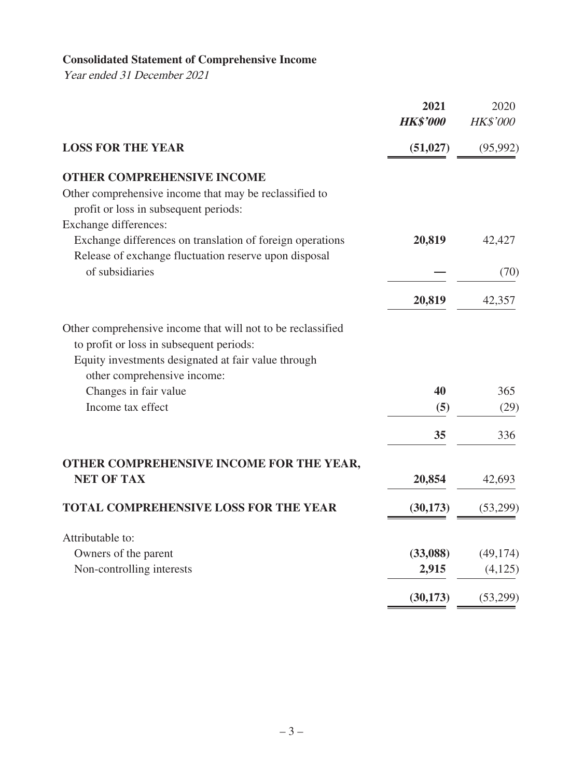# **Consolidated Statement of Comprehensive Income**

Year ended 31 December 2021

|                                                                                                                                                                                               | 2021<br><b>HK\$'000</b> | 2020<br><b>HK\$'000</b> |
|-----------------------------------------------------------------------------------------------------------------------------------------------------------------------------------------------|-------------------------|-------------------------|
| <b>LOSS FOR THE YEAR</b>                                                                                                                                                                      | (51, 027)               | (95, 992)               |
| <b>OTHER COMPREHENSIVE INCOME</b>                                                                                                                                                             |                         |                         |
| Other comprehensive income that may be reclassified to<br>profit or loss in subsequent periods:                                                                                               |                         |                         |
| Exchange differences:                                                                                                                                                                         |                         |                         |
| Exchange differences on translation of foreign operations<br>Release of exchange fluctuation reserve upon disposal                                                                            | 20,819                  | 42,427                  |
| of subsidiaries                                                                                                                                                                               |                         | (70)                    |
|                                                                                                                                                                                               | 20,819                  | 42,357                  |
| Other comprehensive income that will not to be reclassified<br>to profit or loss in subsequent periods:<br>Equity investments designated at fair value through<br>other comprehensive income: |                         |                         |
| Changes in fair value                                                                                                                                                                         | 40                      | 365                     |
| Income tax effect                                                                                                                                                                             | (5)                     | (29)                    |
|                                                                                                                                                                                               | 35                      | 336                     |
| OTHER COMPREHENSIVE INCOME FOR THE YEAR,                                                                                                                                                      |                         |                         |
| <b>NET OF TAX</b>                                                                                                                                                                             | 20,854                  | 42,693                  |
| <b>TOTAL COMPREHENSIVE LOSS FOR THE YEAR</b>                                                                                                                                                  | (30, 173)               | (53,299)                |
| Attributable to:                                                                                                                                                                              |                         |                         |
| Owners of the parent                                                                                                                                                                          | (33,088)                | (49, 174)               |
| Non-controlling interests                                                                                                                                                                     | 2,915                   | (4,125)                 |
|                                                                                                                                                                                               | (30, 173)               | (53,299)                |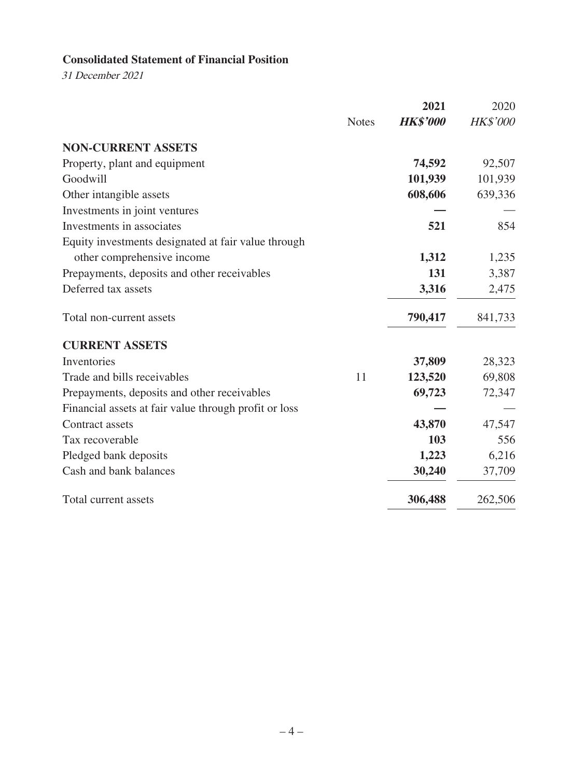### **Consolidated Statement of Financial Position**

31 December 2021

|                                                       |              | 2021            | 2020            |
|-------------------------------------------------------|--------------|-----------------|-----------------|
|                                                       | <b>Notes</b> | <b>HK\$'000</b> | <b>HK\$'000</b> |
| <b>NON-CURRENT ASSETS</b>                             |              |                 |                 |
| Property, plant and equipment                         |              | 74,592          | 92,507          |
| Goodwill                                              |              | 101,939         | 101,939         |
| Other intangible assets                               |              | 608,606         | 639,336         |
| Investments in joint ventures                         |              |                 |                 |
| Investments in associates                             |              | 521             | 854             |
| Equity investments designated at fair value through   |              |                 |                 |
| other comprehensive income                            |              | 1,312           | 1,235           |
| Prepayments, deposits and other receivables           |              | 131             | 3,387           |
| Deferred tax assets                                   |              | 3,316           | 2,475           |
| Total non-current assets                              |              | 790,417         | 841,733         |
| <b>CURRENT ASSETS</b>                                 |              |                 |                 |
| Inventories                                           |              | 37,809          | 28,323          |
| Trade and bills receivables                           | 11           | 123,520         | 69,808          |
| Prepayments, deposits and other receivables           |              | 69,723          | 72,347          |
| Financial assets at fair value through profit or loss |              |                 |                 |
| Contract assets                                       |              | 43,870          | 47,547          |
| Tax recoverable                                       |              | 103             | 556             |
| Pledged bank deposits                                 |              | 1,223           | 6,216           |
| Cash and bank balances                                |              | 30,240          | 37,709          |
| Total current assets                                  |              | 306,488         | 262,506         |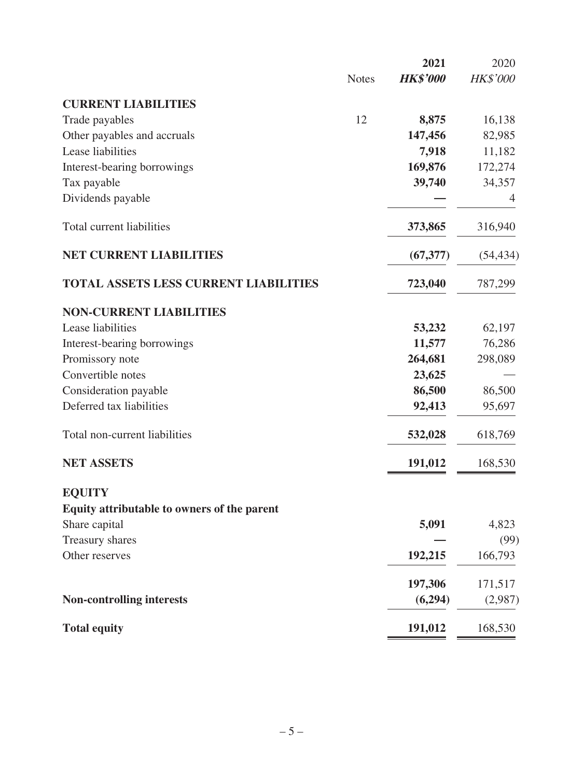|                                              |              | 2021            | 2020            |
|----------------------------------------------|--------------|-----------------|-----------------|
|                                              | <b>Notes</b> | <b>HK\$'000</b> | <b>HK\$'000</b> |
| <b>CURRENT LIABILITIES</b>                   |              |                 |                 |
| Trade payables                               | 12           | 8,875           | 16,138          |
| Other payables and accruals                  |              | 147,456         | 82,985          |
| Lease liabilities                            |              | 7,918           | 11,182          |
| Interest-bearing borrowings                  |              | 169,876         | 172,274         |
| Tax payable                                  |              | 39,740          | 34,357          |
| Dividends payable                            |              |                 | 4               |
| Total current liabilities                    |              | 373,865         | 316,940         |
| <b>NET CURRENT LIABILITIES</b>               |              | (67, 377)       | (54, 434)       |
| <b>TOTAL ASSETS LESS CURRENT LIABILITIES</b> |              | 723,040         | 787,299         |
| <b>NON-CURRENT LIABILITIES</b>               |              |                 |                 |
| Lease liabilities                            |              | 53,232          | 62,197          |
| Interest-bearing borrowings                  |              | 11,577          | 76,286          |
| Promissory note                              |              | 264,681         | 298,089         |
| Convertible notes                            |              | 23,625          |                 |
| Consideration payable                        |              | 86,500          | 86,500          |
| Deferred tax liabilities                     |              | 92,413          | 95,697          |
| Total non-current liabilities                |              | 532,028         | 618,769         |
| <b>NET ASSETS</b>                            |              | 191,012         | 168,530         |
| <b>EQUITY</b>                                |              |                 |                 |
| Equity attributable to owners of the parent  |              |                 |                 |
| Share capital                                |              | 5,091           | 4,823           |
| Treasury shares                              |              |                 | (99)            |
| Other reserves                               |              | 192,215         | 166,793         |
|                                              |              | 197,306         | 171,517         |
| <b>Non-controlling interests</b>             |              | (6,294)         | (2,987)         |
| <b>Total equity</b>                          |              | 191,012         | 168,530         |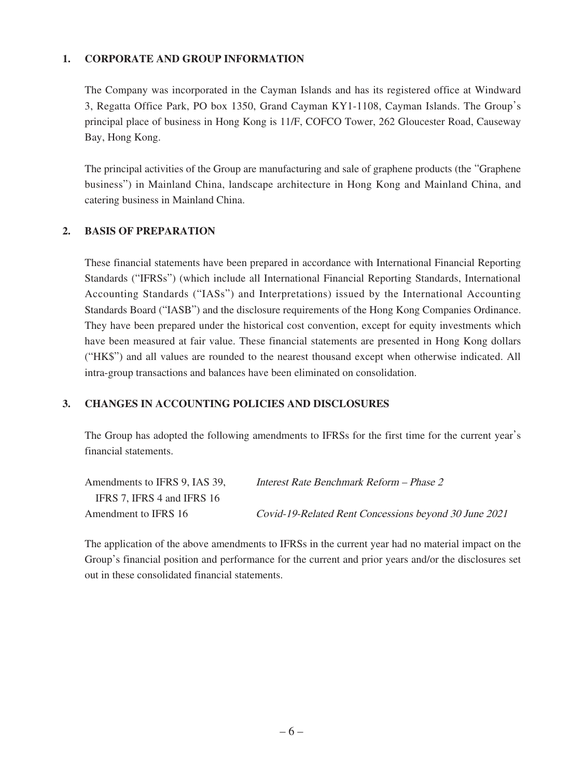#### **1. CORPORATE AND GROUP INFORMATION**

The Company was incorporated in the Cayman Islands and has its registered office at Windward 3, Regatta Office Park, PO box 1350, Grand Cayman KY1-1108, Cayman Islands. The Group's principal place of business in Hong Kong is 11/F, COFCO Tower, 262 Gloucester Road, Causeway Bay, Hong Kong.

The principal activities of the Group are manufacturing and sale of graphene products (the "Graphene business") in Mainland China, landscape architecture in Hong Kong and Mainland China, and catering business in Mainland China.

#### **2. BASIS OF PREPARATION**

These financial statements have been prepared in accordance with International Financial Reporting Standards ("IFRSs") (which include all International Financial Reporting Standards, International Accounting Standards ("IASs") and Interpretations) issued by the International Accounting Standards Board ("IASB") and the disclosure requirements of the Hong Kong Companies Ordinance. They have been prepared under the historical cost convention, except for equity investments which have been measured at fair value. These financial statements are presented in Hong Kong dollars ("HK\$") and all values are rounded to the nearest thousand except when otherwise indicated. All intra-group transactions and balances have been eliminated on consolidation.

### **3. CHANGES IN ACCOUNTING POLICIES AND DISCLOSURES**

The Group has adopted the following amendments to IFRSs for the first time for the current year's financial statements.

| Amendments to IFRS 9, IAS 39, | Interest Rate Benchmark Reform – Phase 2              |
|-------------------------------|-------------------------------------------------------|
| IFRS 7. IFRS 4 and IFRS 16    |                                                       |
| Amendment to IFRS 16          | Covid-19-Related Rent Concessions beyond 30 June 2021 |

The application of the above amendments to IFRSs in the current year had no material impact on the Group's financial position and performance for the current and prior years and/or the disclosures set out in these consolidated financial statements.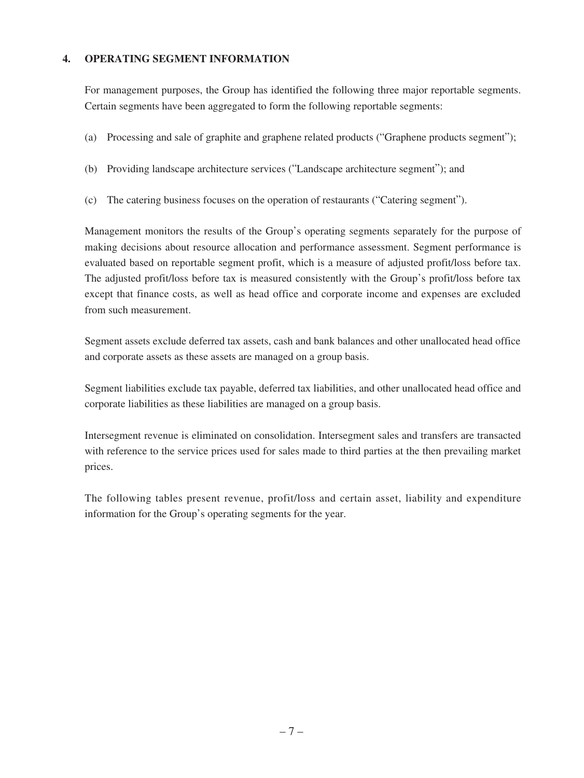#### **4. OPERATING SEGMENT INFORMATION**

For management purposes, the Group has identified the following three major reportable segments. Certain segments have been aggregated to form the following reportable segments:

- (a) Processing and sale of graphite and graphene related products ("Graphene products segment");
- (b) Providing landscape architecture services ("Landscape architecture segment"); and
- (c) The catering business focuses on the operation of restaurants ("Catering segment").

Management monitors the results of the Group's operating segments separately for the purpose of making decisions about resource allocation and performance assessment. Segment performance is evaluated based on reportable segment profit, which is a measure of adjusted profit/loss before tax. The adjusted profit/loss before tax is measured consistently with the Group's profit/loss before tax except that finance costs, as well as head office and corporate income and expenses are excluded from such measurement.

Segment assets exclude deferred tax assets, cash and bank balances and other unallocated head office and corporate assets as these assets are managed on a group basis.

Segment liabilities exclude tax payable, deferred tax liabilities, and other unallocated head office and corporate liabilities as these liabilities are managed on a group basis.

Intersegment revenue is eliminated on consolidation. Intersegment sales and transfers are transacted with reference to the service prices used for sales made to third parties at the then prevailing market prices.

The following tables present revenue, profit/loss and certain asset, liability and expenditure information for the Group's operating segments for the year.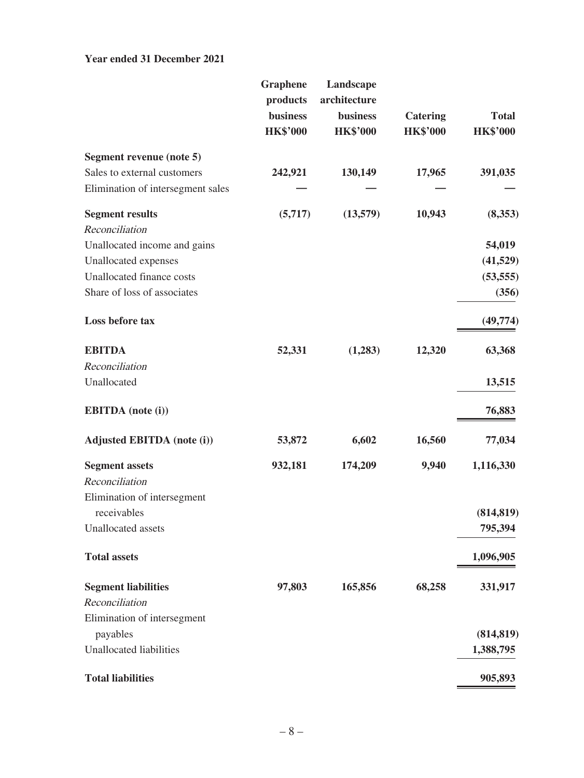#### **Year ended 31 December 2021**

|                                   | <b>Graphene</b><br>products<br><b>business</b><br><b>HK\$'000</b> | Landscape<br>architecture<br>business<br><b>HK\$'000</b> | <b>Catering</b><br><b>HK\$'000</b> | <b>Total</b><br><b>HK\$'000</b> |
|-----------------------------------|-------------------------------------------------------------------|----------------------------------------------------------|------------------------------------|---------------------------------|
| Segment revenue (note 5)          |                                                                   |                                                          |                                    |                                 |
| Sales to external customers       | 242,921                                                           | 130,149                                                  | 17,965                             | 391,035                         |
| Elimination of intersegment sales |                                                                   |                                                          |                                    |                                 |
| <b>Segment results</b>            | (5,717)                                                           | (13,579)                                                 | 10,943                             | (8,353)                         |
| Reconciliation                    |                                                                   |                                                          |                                    |                                 |
| Unallocated income and gains      |                                                                   |                                                          |                                    | 54,019                          |
| Unallocated expenses              |                                                                   |                                                          |                                    | (41,529)                        |
| Unallocated finance costs         |                                                                   |                                                          |                                    | (53, 555)                       |
| Share of loss of associates       |                                                                   |                                                          |                                    | (356)                           |
| Loss before tax                   |                                                                   |                                                          |                                    | (49, 774)                       |
| <b>EBITDA</b>                     | 52,331                                                            | (1,283)                                                  | 12,320                             | 63,368                          |
| Reconciliation                    |                                                                   |                                                          |                                    |                                 |
| Unallocated                       |                                                                   |                                                          |                                    | 13,515                          |
| <b>EBITDA</b> (note (i))          |                                                                   |                                                          |                                    | 76,883                          |
| <b>Adjusted EBITDA</b> (note (i)) | 53,872                                                            | 6,602                                                    | 16,560                             | 77,034                          |
| <b>Segment assets</b>             | 932,181                                                           | 174,209                                                  | 9,940                              | 1,116,330                       |
| Reconciliation                    |                                                                   |                                                          |                                    |                                 |
| Elimination of intersegment       |                                                                   |                                                          |                                    |                                 |
| receivables                       |                                                                   |                                                          |                                    | (814, 819)                      |
| Unallocated assets                |                                                                   |                                                          |                                    | 795,394                         |
| <b>Total assets</b>               |                                                                   |                                                          |                                    | 1,096,905                       |
| <b>Segment liabilities</b>        | 97,803                                                            | 165,856                                                  | 68,258                             | 331,917                         |
| Reconciliation                    |                                                                   |                                                          |                                    |                                 |
| Elimination of intersegment       |                                                                   |                                                          |                                    |                                 |
| payables                          |                                                                   |                                                          |                                    | (814, 819)                      |
| <b>Unallocated liabilities</b>    |                                                                   |                                                          |                                    | 1,388,795                       |
| <b>Total liabilities</b>          |                                                                   |                                                          |                                    | 905,893                         |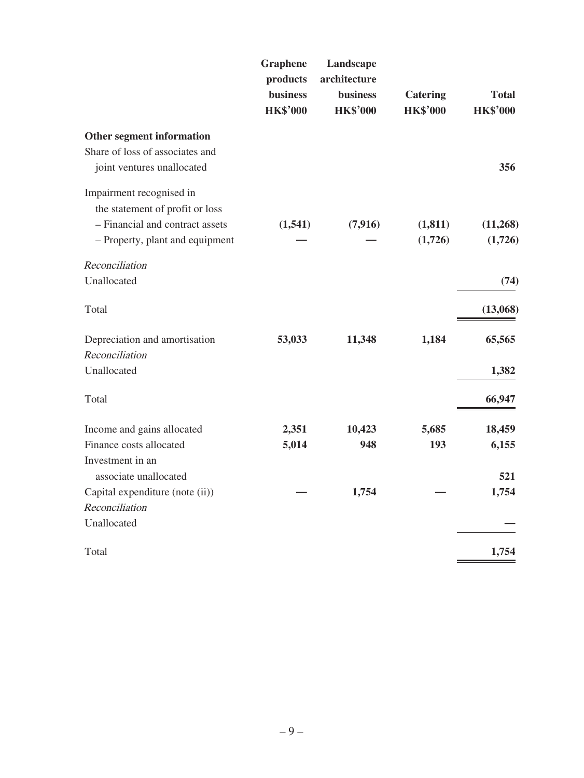| <b>Graphene</b><br>products<br><b>business</b><br><b>HK\$'000</b> | Landscape<br>architecture<br><b>business</b><br><b>HK\$'000</b> | <b>Catering</b><br><b>HK\$'000</b> | <b>Total</b><br><b>HK\$'000</b> |
|-------------------------------------------------------------------|-----------------------------------------------------------------|------------------------------------|---------------------------------|
|                                                                   |                                                                 |                                    |                                 |
|                                                                   |                                                                 |                                    | 356                             |
| (1,541)                                                           | (7, 916)                                                        | (1, 811)<br>(1,726)                | (11,268)<br>(1,726)             |
|                                                                   |                                                                 |                                    |                                 |
|                                                                   |                                                                 |                                    | (74)                            |
|                                                                   |                                                                 |                                    | (13,068)                        |
| 53,033                                                            | 11,348                                                          | 1,184                              | 65,565                          |
|                                                                   |                                                                 |                                    |                                 |
|                                                                   |                                                                 |                                    | 1,382                           |
|                                                                   |                                                                 |                                    | 66,947                          |
| 2,351                                                             | 10,423                                                          | 5,685                              | 18,459                          |
| 5,014                                                             | 948                                                             | 193                                | 6,155                           |
|                                                                   |                                                                 |                                    | 521                             |
|                                                                   | 1,754                                                           |                                    | 1,754                           |
|                                                                   |                                                                 |                                    |                                 |
|                                                                   |                                                                 |                                    |                                 |
|                                                                   |                                                                 |                                    | 1,754                           |
|                                                                   |                                                                 |                                    |                                 |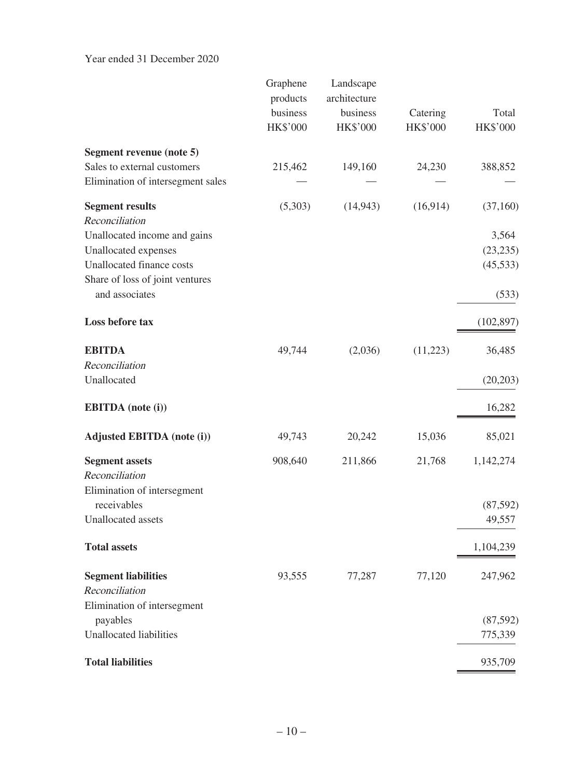Year ended 31 December 2020

|                                                                  | Graphene<br>products<br>business<br>HK\$'000 | Landscape<br>architecture<br>business<br>HK\$'000 | Catering<br><b>HK\$'000</b> | Total<br><b>HK\$'000</b> |
|------------------------------------------------------------------|----------------------------------------------|---------------------------------------------------|-----------------------------|--------------------------|
| Segment revenue (note 5)                                         |                                              |                                                   |                             |                          |
| Sales to external customers<br>Elimination of intersegment sales | 215,462                                      | 149,160                                           | 24,230                      | 388,852                  |
| <b>Segment results</b>                                           | (5,303)                                      | (14, 943)                                         | (16,914)                    | (37,160)                 |
| Reconciliation                                                   |                                              |                                                   |                             |                          |
| Unallocated income and gains                                     |                                              |                                                   |                             | 3,564                    |
| Unallocated expenses                                             |                                              |                                                   |                             | (23, 235)                |
| Unallocated finance costs<br>Share of loss of joint ventures     |                                              |                                                   |                             | (45, 533)                |
| and associates                                                   |                                              |                                                   |                             | (533)                    |
|                                                                  |                                              |                                                   |                             |                          |
| Loss before tax                                                  |                                              |                                                   |                             | (102, 897)               |
| <b>EBITDA</b>                                                    | 49,744                                       | (2,036)                                           | (11,223)                    | 36,485                   |
| Reconciliation                                                   |                                              |                                                   |                             |                          |
| Unallocated                                                      |                                              |                                                   |                             | (20, 203)                |
| <b>EBITDA</b> (note (i))                                         |                                              |                                                   |                             | 16,282                   |
| <b>Adjusted EBITDA</b> (note (i))                                | 49,743                                       | 20,242                                            | 15,036                      | 85,021                   |
| <b>Segment assets</b>                                            | 908,640                                      | 211,866                                           | 21,768                      | 1,142,274                |
| Reconciliation                                                   |                                              |                                                   |                             |                          |
| Elimination of intersegment                                      |                                              |                                                   |                             |                          |
| receivables                                                      |                                              |                                                   |                             | (87,592)                 |
| Unallocated assets                                               |                                              |                                                   |                             | 49,557                   |
| <b>Total assets</b>                                              |                                              |                                                   |                             | 1,104,239                |
| <b>Segment liabilities</b>                                       | 93,555                                       | 77,287                                            | 77,120                      | 247,962                  |
| Reconciliation                                                   |                                              |                                                   |                             |                          |
| Elimination of intersegment                                      |                                              |                                                   |                             |                          |
| payables                                                         |                                              |                                                   |                             | (87, 592)                |
| <b>Unallocated liabilities</b>                                   |                                              |                                                   |                             | 775,339                  |
| <b>Total liabilities</b>                                         |                                              |                                                   |                             | 935,709                  |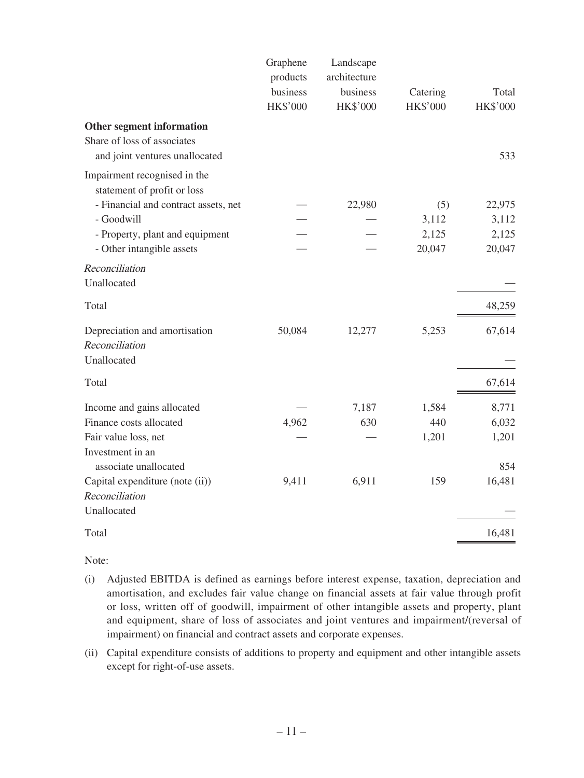|                                                                | Graphene<br>products<br>business<br>HK\$'000 | Landscape<br>architecture<br>business<br>HK\$'000 | Catering<br>HK\$'000 | Total<br>HK\$'000 |
|----------------------------------------------------------------|----------------------------------------------|---------------------------------------------------|----------------------|-------------------|
| Other segment information                                      |                                              |                                                   |                      |                   |
| Share of loss of associates<br>and joint ventures unallocated  |                                              |                                                   |                      | 533               |
| Impairment recognised in the<br>statement of profit or loss    |                                              |                                                   |                      |                   |
| - Financial and contract assets, net                           |                                              | 22,980                                            | (5)                  | 22,975            |
| - Goodwill                                                     |                                              |                                                   | 3,112                | 3,112             |
| - Property, plant and equipment                                |                                              |                                                   | 2,125                | 2,125             |
| - Other intangible assets                                      |                                              |                                                   | 20,047               | 20,047            |
| Reconciliation<br>Unallocated                                  |                                              |                                                   |                      |                   |
| Total                                                          |                                              |                                                   |                      | 48,259            |
| Depreciation and amortisation<br>Reconciliation<br>Unallocated | 50,084                                       | 12,277                                            | 5,253                | 67,614            |
| Total                                                          |                                              |                                                   |                      | 67,614            |
| Income and gains allocated                                     |                                              | 7,187                                             | 1,584                | 8,771             |
| Finance costs allocated                                        | 4,962                                        | 630                                               | 440                  | 6,032             |
| Fair value loss, net                                           |                                              |                                                   | 1,201                | 1,201             |
| Investment in an<br>associate unallocated                      |                                              |                                                   |                      | 854               |
| Capital expenditure (note (ii))                                | 9,411                                        | 6,911                                             | 159                  | 16,481            |
| Reconciliation                                                 |                                              |                                                   |                      |                   |
| Unallocated                                                    |                                              |                                                   |                      |                   |
| Total                                                          |                                              |                                                   |                      | 16,481            |

Note:

- (i) Adjusted EBITDA is defined as earnings before interest expense, taxation, depreciation and amortisation, and excludes fair value change on financial assets at fair value through profit or loss, written off of goodwill, impairment of other intangible assets and property, plant and equipment, share of loss of associates and joint ventures and impairment/(reversal of impairment) on financial and contract assets and corporate expenses.
- (ii) Capital expenditure consists of additions to property and equipment and other intangible assets except for right-of-use assets.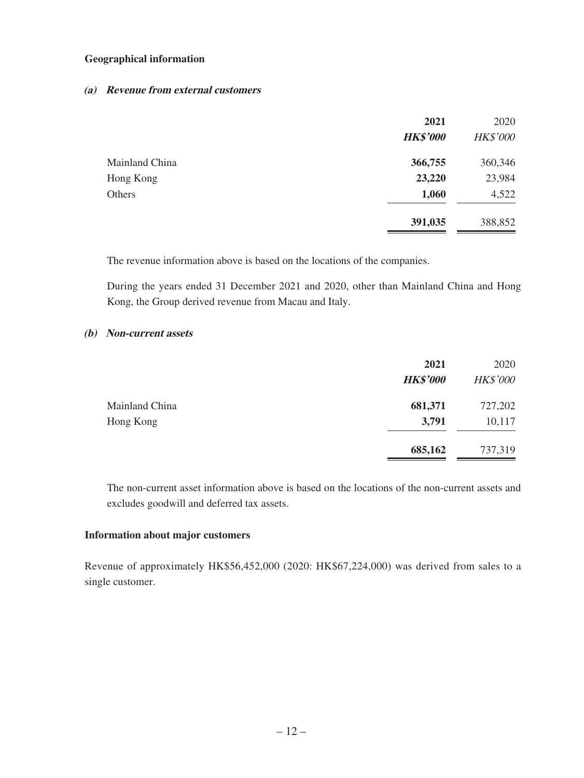#### **Geographical information**

#### **(a) Revenue from external customers**

|                | 2021            | 2020            |
|----------------|-----------------|-----------------|
|                | <b>HK\$'000</b> | <b>HK\$'000</b> |
| Mainland China | 366,755         | 360,346         |
| Hong Kong      | 23,220          | 23,984          |
| Others         | 1,060           | 4,522           |
|                | 391,035         | 388,852         |

The revenue information above is based on the locations of the companies.

During the years ended 31 December 2021 and 2020, other than Mainland China and Hong Kong, the Group derived revenue from Macau and Italy.

#### **(b) Non-current assets**

|                             | 2021<br><b>HK\$'000</b> | 2020<br><b>HK\$'000</b> |
|-----------------------------|-------------------------|-------------------------|
| Mainland China<br>Hong Kong | 681,371<br>3,791        | 727,202<br>10,117       |
|                             | 685,162                 | 737,319                 |

The non-current asset information above is based on the locations of the non-current assets and excludes goodwill and deferred tax assets.

#### **Information about major customers**

Revenue of approximately HK\$56,452,000 (2020: HK\$67,224,000) was derived from sales to a single customer.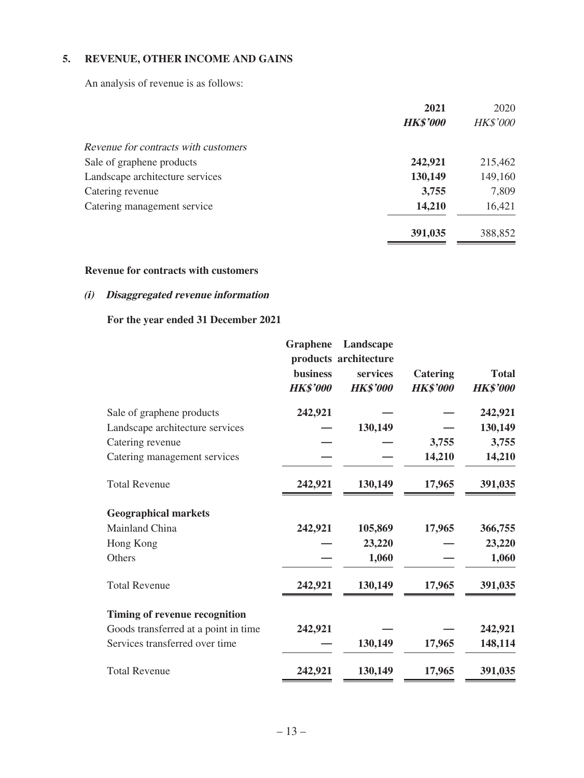### **5. REVENUE, OTHER INCOME AND GAINS**

An analysis of revenue is as follows:

|                                      | 2021            | 2020            |
|--------------------------------------|-----------------|-----------------|
|                                      | <b>HK\$'000</b> | <b>HK\$'000</b> |
| Revenue for contracts with customers |                 |                 |
| Sale of graphene products            | 242,921         | 215,462         |
| Landscape architecture services      | 130,149         | 149,160         |
| Catering revenue                     | 3,755           | 7,809           |
| Catering management service          | 14,210          | 16,421          |
|                                      | 391,035         | 388,852         |

#### **Revenue for contracts with customers**

### **(i) Disaggregated revenue information**

#### **For the year ended 31 December 2021**

| <b>Graphene</b><br><b>business</b><br><b>HK\$'000</b> | Landscape<br>services<br><b>HK\$'000</b> | <b>Catering</b><br><b>HK\$'000</b> | <b>Total</b><br><b>HK\$'000</b> |
|-------------------------------------------------------|------------------------------------------|------------------------------------|---------------------------------|
| 242,921                                               |                                          |                                    | 242,921                         |
|                                                       | 130,149                                  |                                    | 130,149                         |
|                                                       |                                          | 3,755                              | 3,755                           |
|                                                       |                                          | 14,210                             | 14,210                          |
| 242,921                                               | 130,149                                  | 17,965                             | 391,035                         |
|                                                       |                                          |                                    |                                 |
| 242,921                                               | 105,869                                  | 17,965                             | 366,755                         |
|                                                       | 23,220                                   |                                    | 23,220                          |
|                                                       | 1,060                                    |                                    | 1,060                           |
| 242,921                                               | 130,149                                  | 17,965                             | 391,035                         |
|                                                       |                                          |                                    |                                 |
| 242,921                                               |                                          |                                    | 242,921                         |
|                                                       | 130,149                                  | 17,965                             | 148,114                         |
| 242,921                                               | 130,149                                  | 17,965                             | 391,035                         |
|                                                       |                                          | products architecture              |                                 |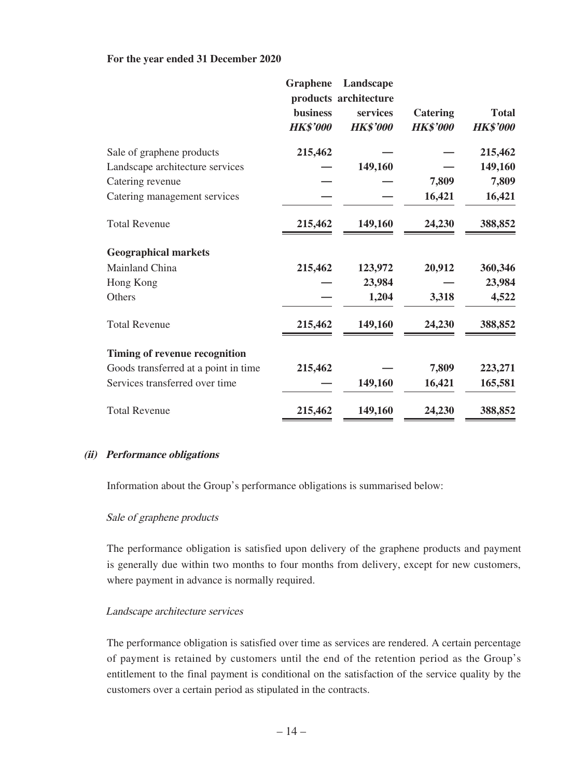#### **For the year ended 31 December 2020**

|                                      | <b>Graphene</b><br><b>business</b><br><b>HK\$'000</b> | Landscape<br>products architecture<br>services<br><b>HK\$'000</b> | <b>Catering</b><br><b>HK\$'000</b> | <b>Total</b><br><b>HK\$'000</b> |
|--------------------------------------|-------------------------------------------------------|-------------------------------------------------------------------|------------------------------------|---------------------------------|
| Sale of graphene products            | 215,462                                               |                                                                   |                                    | 215,462                         |
| Landscape architecture services      |                                                       | 149,160                                                           |                                    | 149,160                         |
| Catering revenue                     |                                                       |                                                                   | 7,809                              | 7,809                           |
| Catering management services         |                                                       |                                                                   | 16,421                             | 16,421                          |
| <b>Total Revenue</b>                 | 215,462                                               | 149,160                                                           | 24,230                             | 388,852                         |
| <b>Geographical markets</b>          |                                                       |                                                                   |                                    |                                 |
| Mainland China                       | 215,462                                               | 123,972                                                           | 20,912                             | 360,346                         |
| Hong Kong                            |                                                       | 23,984                                                            |                                    | 23,984                          |
| Others                               |                                                       | 1,204                                                             | 3,318                              | 4,522                           |
| <b>Total Revenue</b>                 | 215,462                                               | 149,160                                                           | 24,230                             | 388,852                         |
| <b>Timing of revenue recognition</b> |                                                       |                                                                   |                                    |                                 |
| Goods transferred at a point in time | 215,462                                               |                                                                   | 7,809                              | 223,271                         |
| Services transferred over time       |                                                       | 149,160                                                           | 16,421                             | 165,581                         |
| <b>Total Revenue</b>                 | 215,462                                               | 149,160                                                           | 24,230                             | 388,852                         |

#### **(ii) Performance obligations**

Information about the Group's performance obligations is summarised below:

#### Sale of graphene products

The performance obligation is satisfied upon delivery of the graphene products and payment is generally due within two months to four months from delivery, except for new customers, where payment in advance is normally required.

#### Landscape architecture services

The performance obligation is satisfied over time as services are rendered. A certain percentage of payment is retained by customers until the end of the retention period as the Group's entitlement to the final payment is conditional on the satisfaction of the service quality by the customers over a certain period as stipulated in the contracts.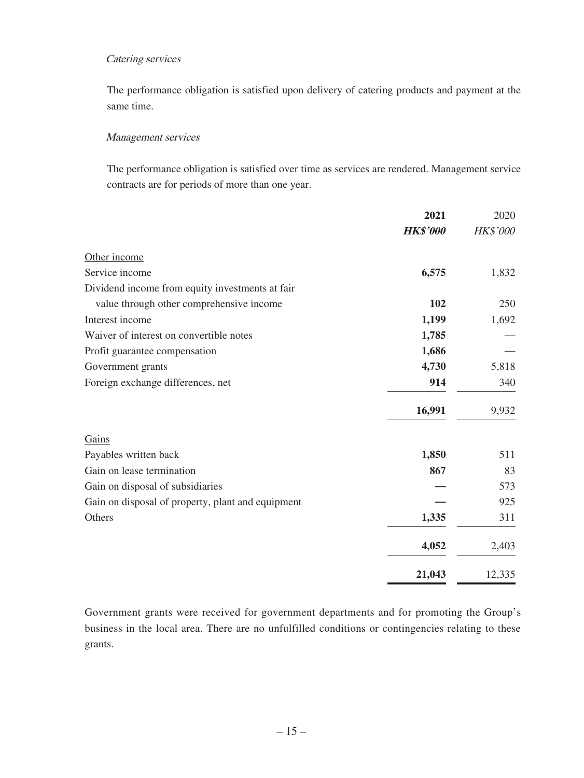#### Catering services

The performance obligation is satisfied upon delivery of catering products and payment at the same time.

#### Management services

The performance obligation is satisfied over time as services are rendered. Management service contracts are for periods of more than one year.

|                                                   | 2021            | 2020            |
|---------------------------------------------------|-----------------|-----------------|
|                                                   | <b>HK\$'000</b> | <b>HK\$'000</b> |
| Other income                                      |                 |                 |
| Service income                                    | 6,575           | 1,832           |
| Dividend income from equity investments at fair   |                 |                 |
| value through other comprehensive income          | 102             | 250             |
| Interest income                                   | 1,199           | 1,692           |
| Waiver of interest on convertible notes           | 1,785           |                 |
| Profit guarantee compensation                     | 1,686           |                 |
| Government grants                                 | 4,730           | 5,818           |
| Foreign exchange differences, net                 | 914             | 340             |
|                                                   | 16,991          | 9,932           |
| Gains                                             |                 |                 |
| Payables written back                             | 1,850           | 511             |
| Gain on lease termination                         | 867             | 83              |
| Gain on disposal of subsidiaries                  |                 | 573             |
| Gain on disposal of property, plant and equipment |                 | 925             |
| Others                                            | 1,335           | 311             |
|                                                   | 4,052           | 2,403           |
|                                                   | 21,043          | 12,335          |

Government grants were received for government departments and for promoting the Group's business in the local area. There are no unfulfilled conditions or contingencies relating to these grants.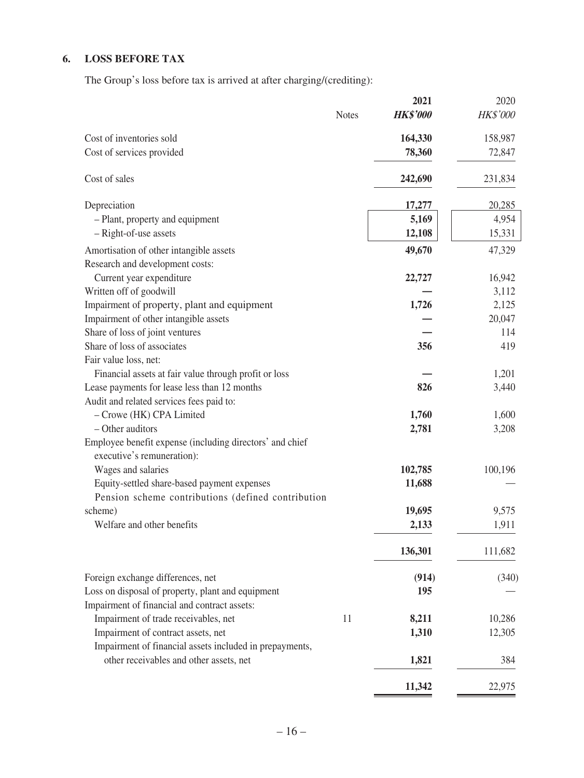# **6. LOSS BEFORE TAX**

The Group's loss before tax is arrived at after charging/(crediting):

|                                                          |              | 2021            | 2020            |
|----------------------------------------------------------|--------------|-----------------|-----------------|
|                                                          | <b>Notes</b> | <b>HK\$'000</b> | <b>HK\$'000</b> |
| Cost of inventories sold                                 |              | 164,330         | 158,987         |
| Cost of services provided                                |              | 78,360          | 72,847          |
| Cost of sales                                            |              | 242,690         | 231,834         |
| Depreciation                                             |              | 17,277          | 20,285          |
| - Plant, property and equipment                          |              | 5,169           | 4,954           |
| - Right-of-use assets                                    |              | 12,108          | 15,331          |
| Amortisation of other intangible assets                  |              | 49,670          | 47,329          |
| Research and development costs:                          |              |                 |                 |
| Current year expenditure                                 |              | 22,727          | 16,942          |
| Written off of goodwill                                  |              |                 | 3,112           |
| Impairment of property, plant and equipment              |              | 1,726           | 2,125           |
| Impairment of other intangible assets                    |              |                 | 20,047          |
| Share of loss of joint ventures                          |              |                 | 114             |
| Share of loss of associates                              |              | 356             | 419             |
| Fair value loss, net:                                    |              |                 |                 |
| Financial assets at fair value through profit or loss    |              |                 | 1,201           |
| Lease payments for lease less than 12 months             |              | 826             | 3,440           |
| Audit and related services fees paid to:                 |              |                 |                 |
| - Crowe (HK) CPA Limited                                 |              | 1,760           | 1,600           |
| - Other auditors                                         |              | 2,781           | 3,208           |
| Employee benefit expense (including directors' and chief |              |                 |                 |
| executive's remuneration):                               |              |                 |                 |
| Wages and salaries                                       |              | 102,785         | 100,196         |
| Equity-settled share-based payment expenses              |              | 11,688          |                 |
| Pension scheme contributions (defined contribution       |              |                 |                 |
| scheme)                                                  |              | 19,695          | 9,575           |
| Welfare and other benefits                               |              | 2,133           | 1,911           |
|                                                          |              | 136,301         | 111,682         |
| Foreign exchange differences, net                        |              | (914)           | (340)           |
| Loss on disposal of property, plant and equipment        |              | 195             |                 |
| Impairment of financial and contract assets:             |              |                 |                 |
| Impairment of trade receivables, net                     | 11           | 8,211           | 10,286          |
| Impairment of contract assets, net                       |              | 1,310           | 12,305          |
| Impairment of financial assets included in prepayments,  |              |                 |                 |
| other receivables and other assets, net                  |              | 1,821           | 384             |
|                                                          |              |                 |                 |
|                                                          |              | 11,342          | 22,975          |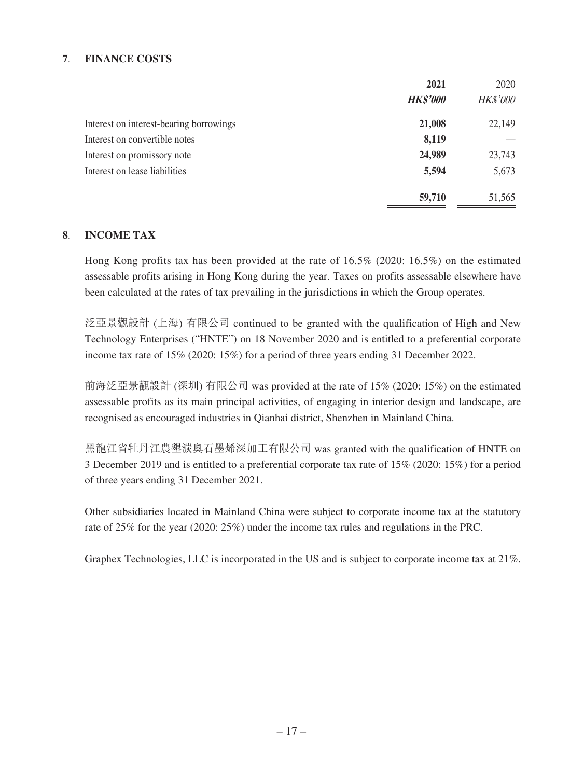#### **7**. **FINANCE COSTS**

|                                         | 2021            | 2020            |
|-----------------------------------------|-----------------|-----------------|
|                                         | <b>HK\$'000</b> | <b>HK\$'000</b> |
| Interest on interest-bearing borrowings | 21,008          | 22,149          |
| Interest on convertible notes           | 8,119           |                 |
| Interest on promissory note             | 24,989          | 23,743          |
| Interest on lease liabilities           | 5,594           | 5,673           |
|                                         | 59,710          | 51,565          |

#### **8**. **INCOME TAX**

Hong Kong profits tax has been provided at the rate of 16.5% (2020: 16.5%) on the estimated assessable profits arising in Hong Kong during the year. Taxes on profits assessable elsewhere have been calculated at the rates of tax prevailing in the jurisdictions in which the Group operates.

泛亞景觀設計 (上海) 有限公司 continued to be granted with the qualification of High and New Technology Enterprises ("HNTE") on 18 November 2020 and is entitled to a preferential corporate income tax rate of 15% (2020: 15%) for a period of three years ending 31 December 2022.

前海泛亞景觀設計 (深圳) 有限公司 was provided at the rate of 15% (2020: 15%) on the estimated assessable profits as its main principal activities, of engaging in interior design and landscape, are recognised as encouraged industries in Qianhai district, Shenzhen in Mainland China.

黑龍江省牡丹江農墾湠奧石墨烯深加工有限公司 was granted with the qualification of HNTE on 3 December 2019 and is entitled to a preferential corporate tax rate of 15% (2020: 15%) for a period of three years ending 31 December 2021.

Other subsidiaries located in Mainland China were subject to corporate income tax at the statutory rate of 25% for the year (2020: 25%) under the income tax rules and regulations in the PRC.

Graphex Technologies, LLC is incorporated in the US and is subject to corporate income tax at 21%.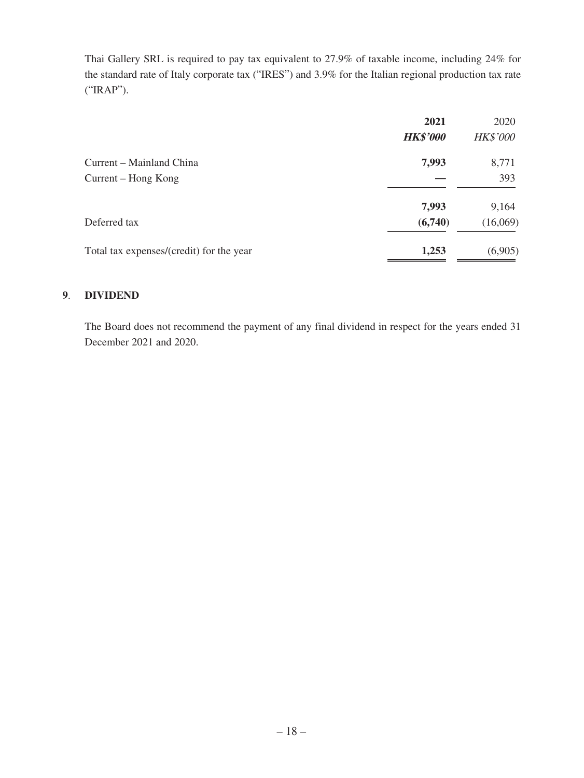Thai Gallery SRL is required to pay tax equivalent to 27.9% of taxable income, including 24% for the standard rate of Italy corporate tax ("IRES") and 3.9% for the Italian regional production tax rate ("IRAP").

| 2021            | 2020            |
|-----------------|-----------------|
| <b>HK\$'000</b> | <b>HK\$'000</b> |
| 7,993           | 8,771           |
|                 | 393             |
| 7,993           | 9,164           |
| (6,740)         | (16,069)        |
| 1,253           | (6,905)         |
|                 |                 |

#### **9**. **DIVIDEND**

The Board does not recommend the payment of any final dividend in respect for the years ended 31 December 2021 and 2020.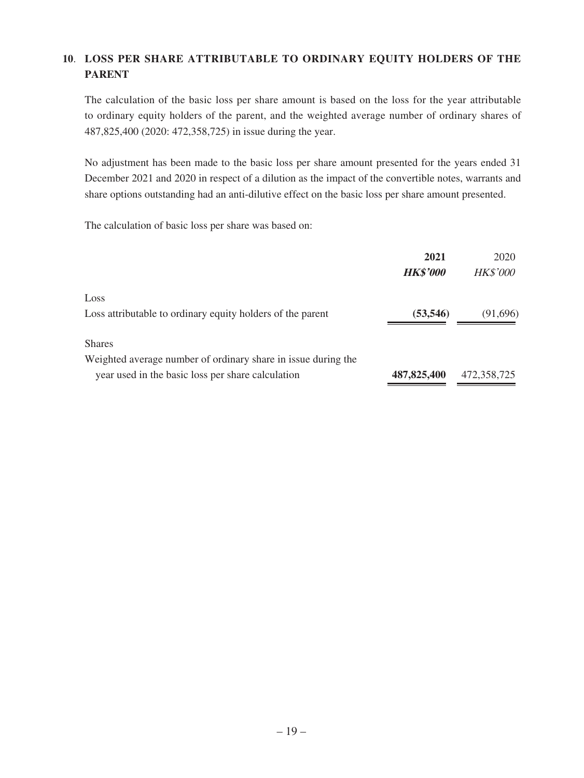### **10**. **LOSS PER SHARE ATTRIBUTABLE TO ORDINARY EQUITY HOLDERS OF THE PARENT**

The calculation of the basic loss per share amount is based on the loss for the year attributable to ordinary equity holders of the parent, and the weighted average number of ordinary shares of 487,825,400 (2020: 472,358,725) in issue during the year.

No adjustment has been made to the basic loss per share amount presented for the years ended 31 December 2021 and 2020 in respect of a dilution as the impact of the convertible notes, warrants and share options outstanding had an anti-dilutive effect on the basic loss per share amount presented.

The calculation of basic loss per share was based on:

|                                                               | 2021<br><b>HK\$'000</b> | 2020<br><b>HK\$'000</b> |
|---------------------------------------------------------------|-------------------------|-------------------------|
| Loss                                                          |                         |                         |
| Loss attributable to ordinary equity holders of the parent    | (53, 546)               | (91,696)                |
| <b>Shares</b>                                                 |                         |                         |
| Weighted average number of ordinary share in issue during the |                         |                         |
| year used in the basic loss per share calculation             | 487, 825, 400           | 472,358,725             |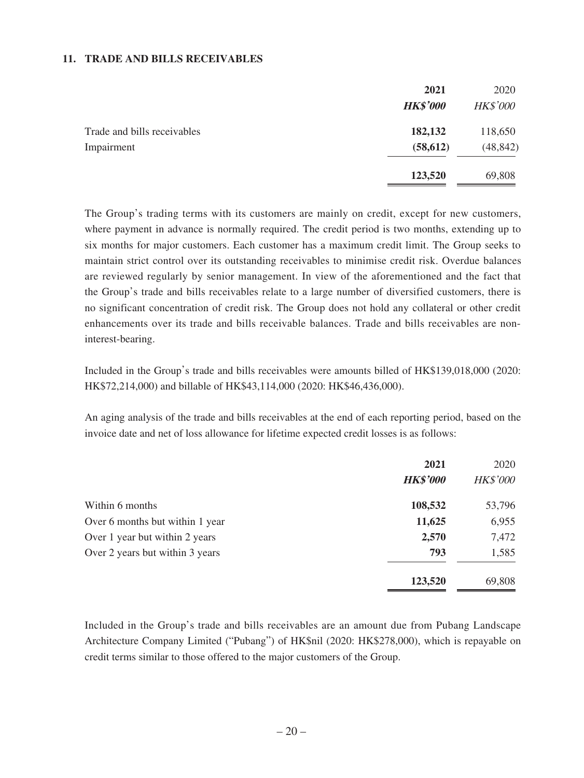#### **11. TRADE AND BILLS RECEIVABLES**

|                             | 2021            | 2020            |
|-----------------------------|-----------------|-----------------|
|                             | <b>HK\$'000</b> | <b>HK\$'000</b> |
| Trade and bills receivables | 182,132         | 118,650         |
| Impairment                  | (58, 612)       | (48, 842)       |
|                             | 123,520         | 69,808          |

The Group's trading terms with its customers are mainly on credit, except for new customers, where payment in advance is normally required. The credit period is two months, extending up to six months for major customers. Each customer has a maximum credit limit. The Group seeks to maintain strict control over its outstanding receivables to minimise credit risk. Overdue balances are reviewed regularly by senior management. In view of the aforementioned and the fact that the Group's trade and bills receivables relate to a large number of diversified customers, there is no significant concentration of credit risk. The Group does not hold any collateral or other credit enhancements over its trade and bills receivable balances. Trade and bills receivables are noninterest-bearing.

Included in the Group's trade and bills receivables were amounts billed of HK\$139,018,000 (2020: HK\$72,214,000) and billable of HK\$43,114,000 (2020: HK\$46,436,000).

An aging analysis of the trade and bills receivables at the end of each reporting period, based on the invoice date and net of loss allowance for lifetime expected credit losses is as follows:

| 2021            | 2020            |
|-----------------|-----------------|
| <b>HK\$'000</b> | <b>HK\$'000</b> |
| 108,532         | 53,796          |
| 11,625          | 6,955           |
| 2,570           | 7,472           |
| 793             | 1,585           |
| 123,520         | 69,808          |
|                 |                 |

Included in the Group's trade and bills receivables are an amount due from Pubang Landscape Architecture Company Limited ("Pubang") of HK\$nil (2020: HK\$278,000), which is repayable on credit terms similar to those offered to the major customers of the Group.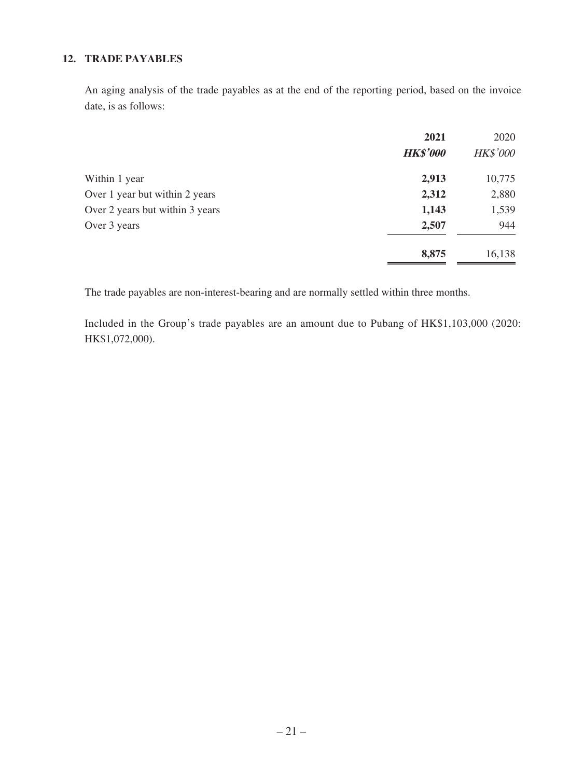### **12. TRADE PAYABLES**

An aging analysis of the trade payables as at the end of the reporting period, based on the invoice date, is as follows:

|                                 | 2021            | 2020            |
|---------------------------------|-----------------|-----------------|
|                                 | <b>HK\$'000</b> | <b>HK\$'000</b> |
| Within 1 year                   | 2,913           | 10,775          |
| Over 1 year but within 2 years  | 2,312           | 2,880           |
| Over 2 years but within 3 years | 1,143           | 1,539           |
| Over 3 years                    | 2,507           | 944             |
|                                 | 8,875           | 16,138          |

The trade payables are non-interest-bearing and are normally settled within three months.

Included in the Group's trade payables are an amount due to Pubang of HK\$1,103,000 (2020: HK\$1,072,000).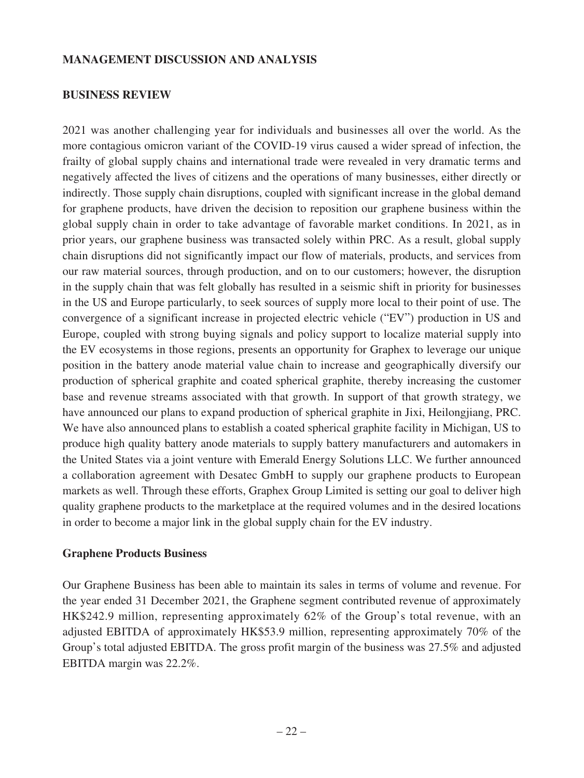#### **MANAGEMENT DISCUSSION AND ANALYSIS**

#### **BUSINESS REVIEW**

2021 was another challenging year for individuals and businesses all over the world. As the more contagious omicron variant of the COVID-19 virus caused a wider spread of infection, the frailty of global supply chains and international trade were revealed in very dramatic terms and negatively affected the lives of citizens and the operations of many businesses, either directly or indirectly. Those supply chain disruptions, coupled with significant increase in the global demand for graphene products, have driven the decision to reposition our graphene business within the global supply chain in order to take advantage of favorable market conditions. In 2021, as in prior years, our graphene business was transacted solely within PRC. As a result, global supply chain disruptions did not significantly impact our flow of materials, products, and services from our raw material sources, through production, and on to our customers; however, the disruption in the supply chain that was felt globally has resulted in a seismic shift in priority for businesses in the US and Europe particularly, to seek sources of supply more local to their point of use. The convergence of a significant increase in projected electric vehicle ("EV") production in US and Europe, coupled with strong buying signals and policy support to localize material supply into the EV ecosystems in those regions, presents an opportunity for Graphex to leverage our unique position in the battery anode material value chain to increase and geographically diversify our production of spherical graphite and coated spherical graphite, thereby increasing the customer base and revenue streams associated with that growth. In support of that growth strategy, we have announced our plans to expand production of spherical graphite in Jixi, Heilongjiang, PRC. We have also announced plans to establish a coated spherical graphite facility in Michigan, US to produce high quality battery anode materials to supply battery manufacturers and automakers in the United States via a joint venture with Emerald Energy Solutions LLC. We further announced a collaboration agreement with Desatec GmbH to supply our graphene products to European markets as well. Through these efforts, Graphex Group Limited is setting our goal to deliver high quality graphene products to the marketplace at the required volumes and in the desired locations in order to become a major link in the global supply chain for the EV industry.

### **Graphene Products Business**

Our Graphene Business has been able to maintain its sales in terms of volume and revenue. For the year ended 31 December 2021, the Graphene segment contributed revenue of approximately HK\$242.9 million, representing approximately 62% of the Group's total revenue, with an adjusted EBITDA of approximately HK\$53.9 million, representing approximately 70% of the Group's total adjusted EBITDA. The gross profit margin of the business was 27.5% and adjusted EBITDA margin was 22.2%.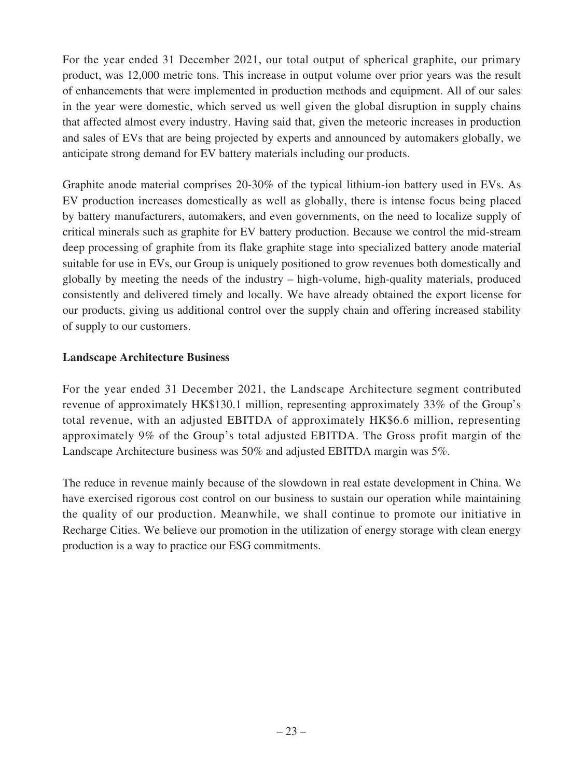For the year ended 31 December 2021, our total output of spherical graphite, our primary product, was 12,000 metric tons. This increase in output volume over prior years was the result of enhancements that were implemented in production methods and equipment. All of our sales in the year were domestic, which served us well given the global disruption in supply chains that affected almost every industry. Having said that, given the meteoric increases in production and sales of EVs that are being projected by experts and announced by automakers globally, we anticipate strong demand for EV battery materials including our products.

Graphite anode material comprises 20-30% of the typical lithium-ion battery used in EVs. As EV production increases domestically as well as globally, there is intense focus being placed by battery manufacturers, automakers, and even governments, on the need to localize supply of critical minerals such as graphite for EV battery production. Because we control the mid-stream deep processing of graphite from its flake graphite stage into specialized battery anode material suitable for use in EVs, our Group is uniquely positioned to grow revenues both domestically and globally by meeting the needs of the industry – high-volume, high-quality materials, produced consistently and delivered timely and locally. We have already obtained the export license for our products, giving us additional control over the supply chain and offering increased stability of supply to our customers.

### **Landscape Architecture Business**

For the year ended 31 December 2021, the Landscape Architecture segment contributed revenue of approximately HK\$130.1 million, representing approximately 33% of the Group's total revenue, with an adjusted EBITDA of approximately HK\$6.6 million, representing approximately 9% of the Group's total adjusted EBITDA. The Gross profit margin of the Landscape Architecture business was 50% and adjusted EBITDA margin was 5%.

The reduce in revenue mainly because of the slowdown in real estate development in China. We have exercised rigorous cost control on our business to sustain our operation while maintaining the quality of our production. Meanwhile, we shall continue to promote our initiative in Recharge Cities. We believe our promotion in the utilization of energy storage with clean energy production is a way to practice our ESG commitments.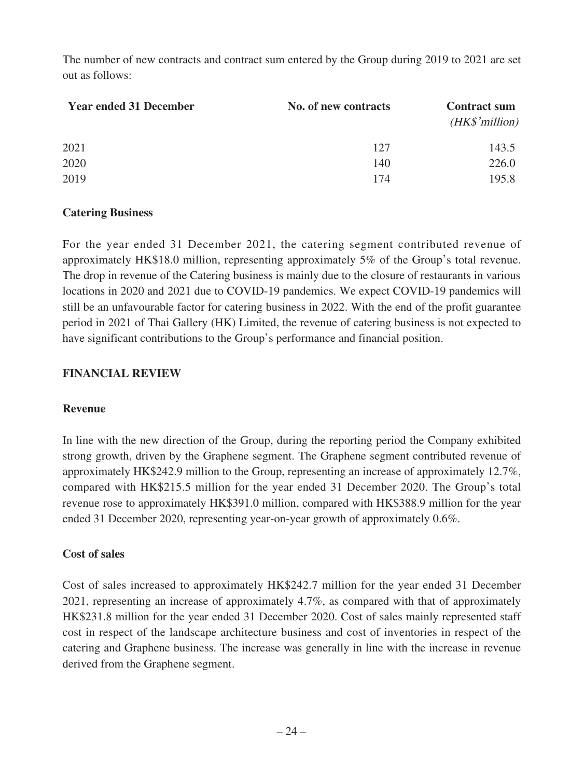The number of new contracts and contract sum entered by the Group during 2019 to 2021 are set out as follows:

| <b>Year ended 31 December</b> | No. of new contracts | <b>Contract sum</b><br>(HK\$'million) |
|-------------------------------|----------------------|---------------------------------------|
| 2021                          | 127                  | 143.5                                 |
| 2020                          | 140                  | 226.0                                 |
| 2019                          | 174                  | 195.8                                 |

### **Catering Business**

For the year ended 31 December 2021, the catering segment contributed revenue of approximately HK\$18.0 million, representing approximately 5% of the Group's total revenue. The drop in revenue of the Catering business is mainly due to the closure of restaurants in various locations in 2020 and 2021 due to COVID-19 pandemics. We expect COVID-19 pandemics will still be an unfavourable factor for catering business in 2022. With the end of the profit guarantee period in 2021 of Thai Gallery (HK) Limited, the revenue of catering business is not expected to have significant contributions to the Group's performance and financial position.

### **FINANCIAL REVIEW**

### **Revenue**

In line with the new direction of the Group, during the reporting period the Company exhibited strong growth, driven by the Graphene segment. The Graphene segment contributed revenue of approximately HK\$242.9 million to the Group, representing an increase of approximately 12.7%, compared with HK\$215.5 million for the year ended 31 December 2020. The Group's total revenue rose to approximately HK\$391.0 million, compared with HK\$388.9 million for the year ended 31 December 2020, representing year-on-year growth of approximately 0.6%.

### **Cost of sales**

Cost of sales increased to approximately HK\$242.7 million for the year ended 31 December 2021, representing an increase of approximately 4.7%, as compared with that of approximately HK\$231.8 million for the year ended 31 December 2020. Cost of sales mainly represented staff cost in respect of the landscape architecture business and cost of inventories in respect of the catering and Graphene business. The increase was generally in line with the increase in revenue derived from the Graphene segment.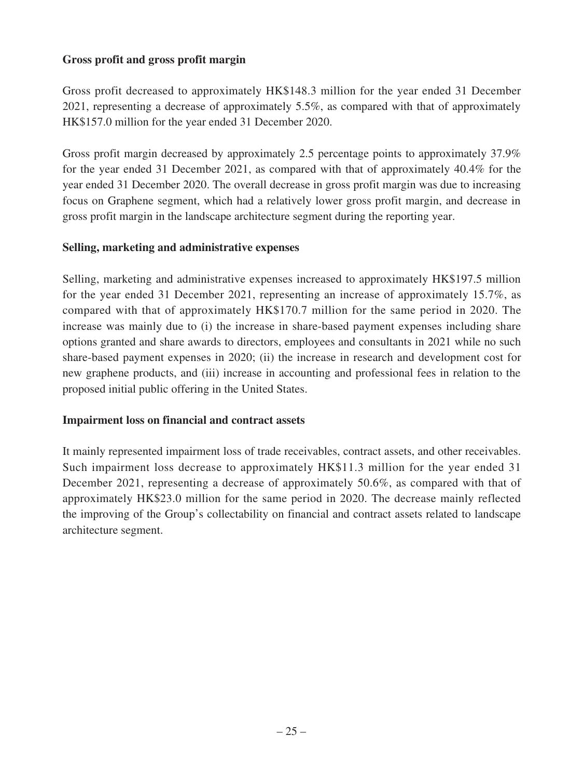### **Gross profit and gross profit margin**

Gross profit decreased to approximately HK\$148.3 million for the year ended 31 December 2021, representing a decrease of approximately 5.5%, as compared with that of approximately HK\$157.0 million for the year ended 31 December 2020.

Gross profit margin decreased by approximately 2.5 percentage points to approximately 37.9% for the year ended 31 December 2021, as compared with that of approximately 40.4% for the year ended 31 December 2020. The overall decrease in gross profit margin was due to increasing focus on Graphene segment, which had a relatively lower gross profit margin, and decrease in gross profit margin in the landscape architecture segment during the reporting year.

### **Selling, marketing and administrative expenses**

Selling, marketing and administrative expenses increased to approximately HK\$197.5 million for the year ended 31 December 2021, representing an increase of approximately 15.7%, as compared with that of approximately HK\$170.7 million for the same period in 2020. The increase was mainly due to (i) the increase in share-based payment expenses including share options granted and share awards to directors, employees and consultants in 2021 while no such share-based payment expenses in 2020; (ii) the increase in research and development cost for new graphene products, and (iii) increase in accounting and professional fees in relation to the proposed initial public offering in the United States.

### **Impairment loss on financial and contract assets**

It mainly represented impairment loss of trade receivables, contract assets, and other receivables. Such impairment loss decrease to approximately HK\$11.3 million for the year ended 31 December 2021, representing a decrease of approximately 50.6%, as compared with that of approximately HK\$23.0 million for the same period in 2020. The decrease mainly reflected the improving of the Group's collectability on financial and contract assets related to landscape architecture segment.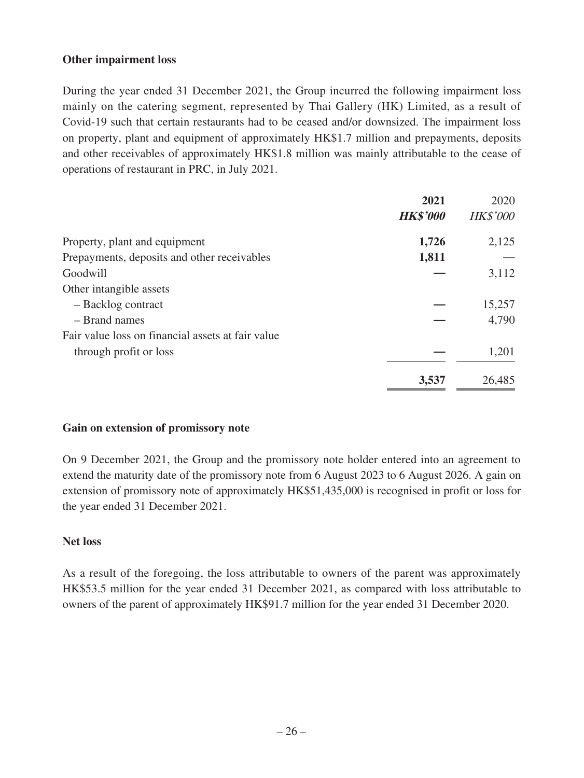### **Other impairment loss**

During the year ended 31 December 2021, the Group incurred the following impairment loss mainly on the catering segment, represented by Thai Gallery (HK) Limited, as a result of Covid-19 such that certain restaurants had to be ceased and/or downsized. The impairment loss on property, plant and equipment of approximately HK\$1.7 million and prepayments, deposits and other receivables of approximately HK\$1.8 million was mainly attributable to the cease of operations of restaurant in PRC, in July 2021.

| 2021                                                 | 2020            |
|------------------------------------------------------|-----------------|
| <b>HK\$'000</b>                                      | <b>HK\$'000</b> |
| 1,726<br>Property, plant and equipment               | 2,125           |
| 1,811<br>Prepayments, deposits and other receivables |                 |
| Goodwill                                             | 3,112           |
| Other intangible assets                              |                 |
| - Backlog contract                                   | 15,257          |
| - Brand names                                        | 4,790           |
| Fair value loss on financial assets at fair value    |                 |
| through profit or loss                               | 1,201           |
| 3,537                                                | 26,485          |

### **Gain on extension of promissory note**

On 9 December 2021, the Group and the promissory note holder entered into an agreement to extend the maturity date of the promissory note from 6 August 2023 to 6 August 2026. A gain on extension of promissory note of approximately HK\$51,435,000 is recognised in profit or loss for the year ended 31 December 2021.

### **Net loss**

As a result of the foregoing, the loss attributable to owners of the parent was approximately HK\$53.5 million for the year ended 31 December 2021, as compared with loss attributable to owners of the parent of approximately HK\$91.7 million for the year ended 31 December 2020.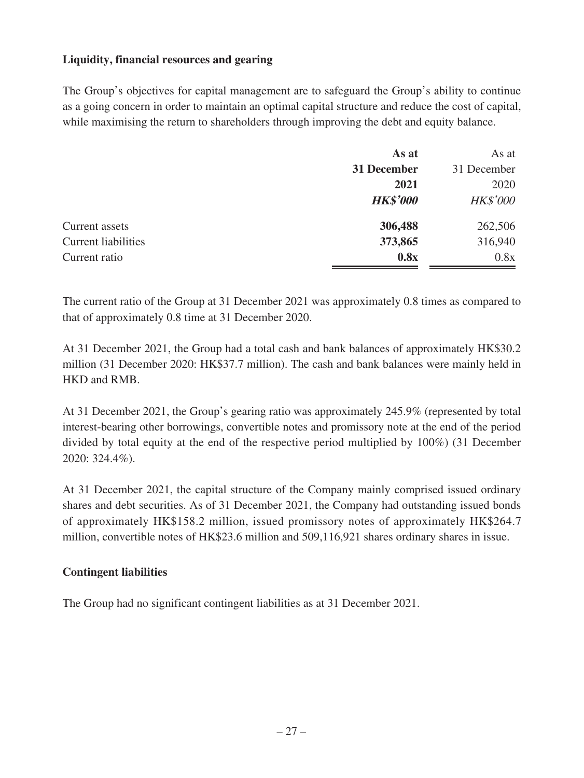### **Liquidity, financial resources and gearing**

The Group's objectives for capital management are to safeguard the Group's ability to continue as a going concern in order to maintain an optimal capital structure and reduce the cost of capital, while maximising the return to shareholders through improving the debt and equity balance.

|                            | As at           | As at           |
|----------------------------|-----------------|-----------------|
|                            | 31 December     | 31 December     |
|                            | 2021            | 2020            |
|                            | <b>HK\$'000</b> | <b>HK\$'000</b> |
| Current assets             | 306,488         | 262,506         |
| <b>Current liabilities</b> | 373,865         | 316,940         |
| Current ratio              | 0.8x            | 0.8x            |

The current ratio of the Group at 31 December 2021 was approximately 0.8 times as compared to that of approximately 0.8 time at 31 December 2020.

At 31 December 2021, the Group had a total cash and bank balances of approximately HK\$30.2 million (31 December 2020: HK\$37.7 million). The cash and bank balances were mainly held in HKD and RMB.

At 31 December 2021, the Group's gearing ratio was approximately 245.9% (represented by total interest-bearing other borrowings, convertible notes and promissory note at the end of the period divided by total equity at the end of the respective period multiplied by 100%) (31 December 2020: 324.4%).

At 31 December 2021, the capital structure of the Company mainly comprised issued ordinary shares and debt securities. As of 31 December 2021, the Company had outstanding issued bonds of approximately HK\$158.2 million, issued promissory notes of approximately HK\$264.7 million, convertible notes of HK\$23.6 million and 509,116,921 shares ordinary shares in issue.

### **Contingent liabilities**

The Group had no significant contingent liabilities as at 31 December 2021.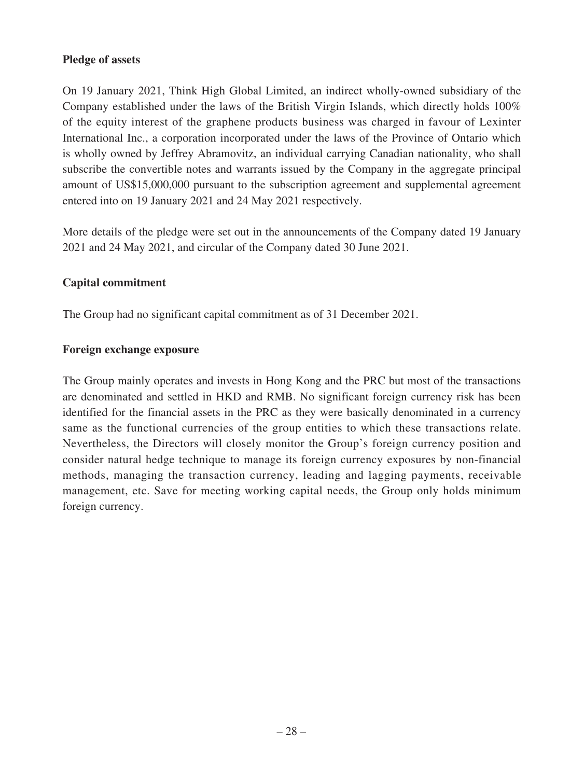### **Pledge of assets**

On 19 January 2021, Think High Global Limited, an indirect wholly-owned subsidiary of the Company established under the laws of the British Virgin Islands, which directly holds 100% of the equity interest of the graphene products business was charged in favour of Lexinter International Inc., a corporation incorporated under the laws of the Province of Ontario which is wholly owned by Jeffrey Abramovitz, an individual carrying Canadian nationality, who shall subscribe the convertible notes and warrants issued by the Company in the aggregate principal amount of US\$15,000,000 pursuant to the subscription agreement and supplemental agreement entered into on 19 January 2021 and 24 May 2021 respectively.

More details of the pledge were set out in the announcements of the Company dated 19 January 2021 and 24 May 2021, and circular of the Company dated 30 June 2021.

### **Capital commitment**

The Group had no significant capital commitment as of 31 December 2021.

#### **Foreign exchange exposure**

The Group mainly operates and invests in Hong Kong and the PRC but most of the transactions are denominated and settled in HKD and RMB. No significant foreign currency risk has been identified for the financial assets in the PRC as they were basically denominated in a currency same as the functional currencies of the group entities to which these transactions relate. Nevertheless, the Directors will closely monitor the Group's foreign currency position and consider natural hedge technique to manage its foreign currency exposures by non-financial methods, managing the transaction currency, leading and lagging payments, receivable management, etc. Save for meeting working capital needs, the Group only holds minimum foreign currency.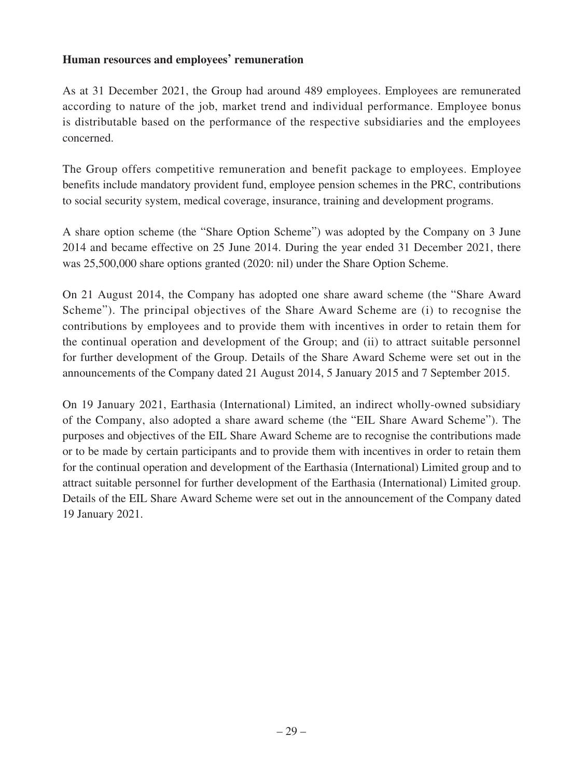### **Human resources and employees' remuneration**

As at 31 December 2021, the Group had around 489 employees. Employees are remunerated according to nature of the job, market trend and individual performance. Employee bonus is distributable based on the performance of the respective subsidiaries and the employees concerned.

The Group offers competitive remuneration and benefit package to employees. Employee benefits include mandatory provident fund, employee pension schemes in the PRC, contributions to social security system, medical coverage, insurance, training and development programs.

A share option scheme (the "Share Option Scheme") was adopted by the Company on 3 June 2014 and became effective on 25 June 2014. During the year ended 31 December 2021, there was 25,500,000 share options granted (2020: nil) under the Share Option Scheme.

On 21 August 2014, the Company has adopted one share award scheme (the "Share Award Scheme"). The principal objectives of the Share Award Scheme are (i) to recognise the contributions by employees and to provide them with incentives in order to retain them for the continual operation and development of the Group; and (ii) to attract suitable personnel for further development of the Group. Details of the Share Award Scheme were set out in the announcements of the Company dated 21 August 2014, 5 January 2015 and 7 September 2015.

On 19 January 2021, Earthasia (International) Limited, an indirect wholly-owned subsidiary of the Company, also adopted a share award scheme (the "EIL Share Award Scheme"). The purposes and objectives of the EIL Share Award Scheme are to recognise the contributions made or to be made by certain participants and to provide them with incentives in order to retain them for the continual operation and development of the Earthasia (International) Limited group and to attract suitable personnel for further development of the Earthasia (International) Limited group. Details of the EIL Share Award Scheme were set out in the announcement of the Company dated 19 January 2021.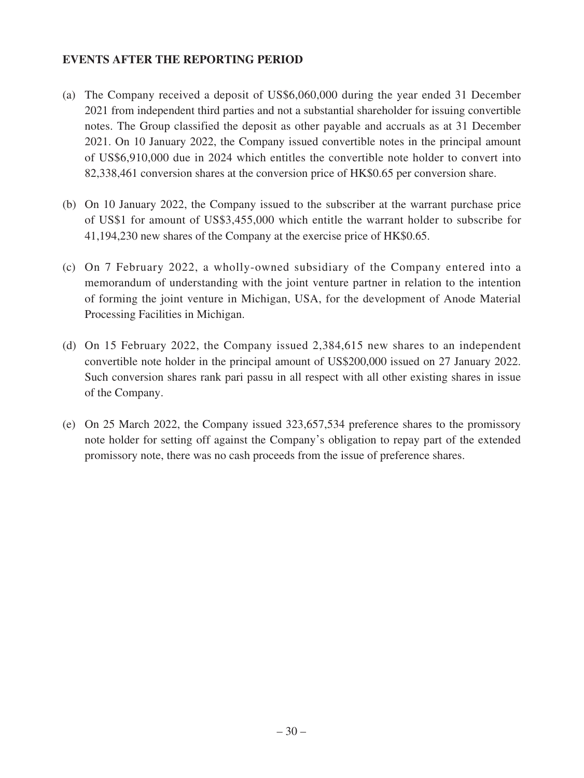### **EVENTS AFTER THE REPORTING PERIOD**

- (a) The Company received a deposit of US\$6,060,000 during the year ended 31 December 2021 from independent third parties and not a substantial shareholder for issuing convertible notes. The Group classified the deposit as other payable and accruals as at 31 December 2021. On 10 January 2022, the Company issued convertible notes in the principal amount of US\$6,910,000 due in 2024 which entitles the convertible note holder to convert into 82,338,461 conversion shares at the conversion price of HK\$0.65 per conversion share.
- (b) On 10 January 2022, the Company issued to the subscriber at the warrant purchase price of US\$1 for amount of US\$3,455,000 which entitle the warrant holder to subscribe for 41,194,230 new shares of the Company at the exercise price of HK\$0.65.
- (c) On 7 February 2022, a wholly-owned subsidiary of the Company entered into a memorandum of understanding with the joint venture partner in relation to the intention of forming the joint venture in Michigan, USA, for the development of Anode Material Processing Facilities in Michigan.
- (d) On 15 February 2022, the Company issued 2,384,615 new shares to an independent convertible note holder in the principal amount of US\$200,000 issued on 27 January 2022. Such conversion shares rank pari passu in all respect with all other existing shares in issue of the Company.
- (e) On 25 March 2022, the Company issued 323,657,534 preference shares to the promissory note holder for setting off against the Company's obligation to repay part of the extended promissory note, there was no cash proceeds from the issue of preference shares.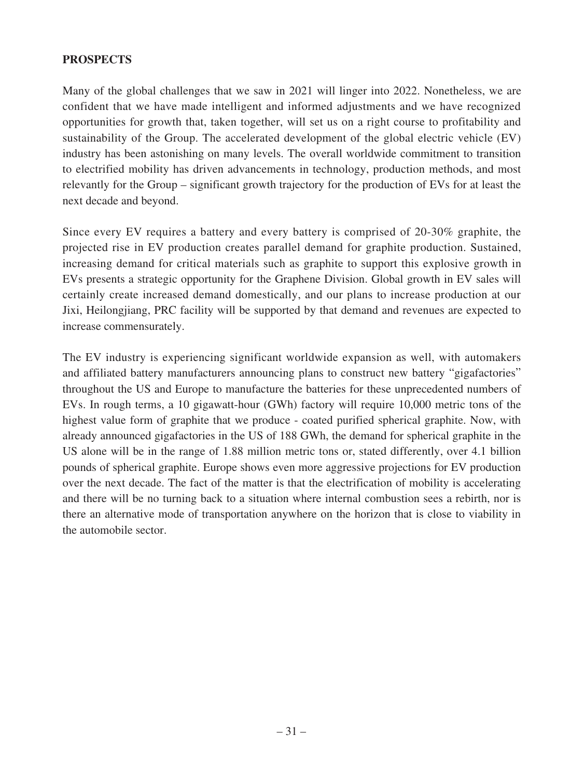### **PROSPECTS**

Many of the global challenges that we saw in 2021 will linger into 2022. Nonetheless, we are confident that we have made intelligent and informed adjustments and we have recognized opportunities for growth that, taken together, will set us on a right course to profitability and sustainability of the Group. The accelerated development of the global electric vehicle (EV) industry has been astonishing on many levels. The overall worldwide commitment to transition to electrified mobility has driven advancements in technology, production methods, and most relevantly for the Group – significant growth trajectory for the production of EVs for at least the next decade and beyond.

Since every EV requires a battery and every battery is comprised of 20-30% graphite, the projected rise in EV production creates parallel demand for graphite production. Sustained, increasing demand for critical materials such as graphite to support this explosive growth in EVs presents a strategic opportunity for the Graphene Division. Global growth in EV sales will certainly create increased demand domestically, and our plans to increase production at our Jixi, Heilongjiang, PRC facility will be supported by that demand and revenues are expected to increase commensurately.

The EV industry is experiencing significant worldwide expansion as well, with automakers and affiliated battery manufacturers announcing plans to construct new battery "gigafactories" throughout the US and Europe to manufacture the batteries for these unprecedented numbers of EVs. In rough terms, a 10 gigawatt-hour (GWh) factory will require 10,000 metric tons of the highest value form of graphite that we produce - coated purified spherical graphite. Now, with already announced gigafactories in the US of 188 GWh, the demand for spherical graphite in the US alone will be in the range of 1.88 million metric tons or, stated differently, over 4.1 billion pounds of spherical graphite. Europe shows even more aggressive projections for EV production over the next decade. The fact of the matter is that the electrification of mobility is accelerating and there will be no turning back to a situation where internal combustion sees a rebirth, nor is there an alternative mode of transportation anywhere on the horizon that is close to viability in the automobile sector.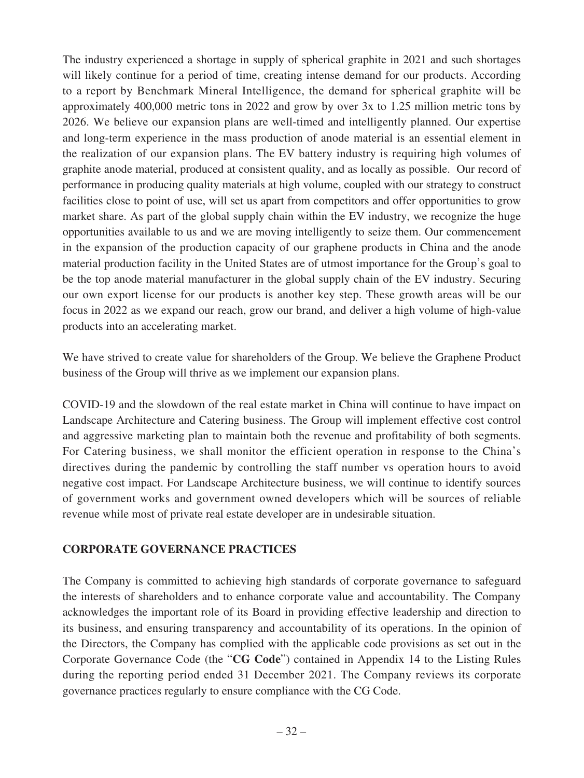The industry experienced a shortage in supply of spherical graphite in 2021 and such shortages will likely continue for a period of time, creating intense demand for our products. According to a report by Benchmark Mineral Intelligence, the demand for spherical graphite will be approximately 400,000 metric tons in 2022 and grow by over 3x to 1.25 million metric tons by 2026. We believe our expansion plans are well-timed and intelligently planned. Our expertise and long-term experience in the mass production of anode material is an essential element in the realization of our expansion plans. The EV battery industry is requiring high volumes of graphite anode material, produced at consistent quality, and as locally as possible. Our record of performance in producing quality materials at high volume, coupled with our strategy to construct facilities close to point of use, will set us apart from competitors and offer opportunities to grow market share. As part of the global supply chain within the EV industry, we recognize the huge opportunities available to us and we are moving intelligently to seize them. Our commencement in the expansion of the production capacity of our graphene products in China and the anode material production facility in the United States are of utmost importance for the Group's goal to be the top anode material manufacturer in the global supply chain of the EV industry. Securing our own export license for our products is another key step. These growth areas will be our focus in 2022 as we expand our reach, grow our brand, and deliver a high volume of high-value products into an accelerating market.

We have strived to create value for shareholders of the Group. We believe the Graphene Product business of the Group will thrive as we implement our expansion plans.

COVID-19 and the slowdown of the real estate market in China will continue to have impact on Landscape Architecture and Catering business. The Group will implement effective cost control and aggressive marketing plan to maintain both the revenue and profitability of both segments. For Catering business, we shall monitor the efficient operation in response to the China's directives during the pandemic by controlling the staff number vs operation hours to avoid negative cost impact. For Landscape Architecture business, we will continue to identify sources of government works and government owned developers which will be sources of reliable revenue while most of private real estate developer are in undesirable situation.

### **CORPORATE GOVERNANCE PRACTICES**

The Company is committed to achieving high standards of corporate governance to safeguard the interests of shareholders and to enhance corporate value and accountability. The Company acknowledges the important role of its Board in providing effective leadership and direction to its business, and ensuring transparency and accountability of its operations. In the opinion of the Directors, the Company has complied with the applicable code provisions as set out in the Corporate Governance Code (the "**CG Code**") contained in Appendix 14 to the Listing Rules during the reporting period ended 31 December 2021. The Company reviews its corporate governance practices regularly to ensure compliance with the CG Code.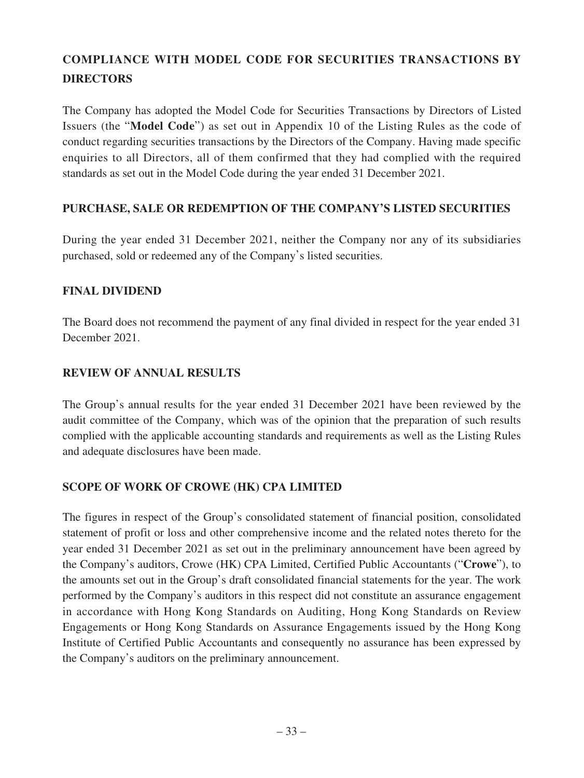# **COMPLIANCE WITH MODEL CODE FOR SECURITIES TRANSACTIONS BY DIRECTORS**

The Company has adopted the Model Code for Securities Transactions by Directors of Listed Issuers (the "**Model Code**") as set out in Appendix 10 of the Listing Rules as the code of conduct regarding securities transactions by the Directors of the Company. Having made specific enquiries to all Directors, all of them confirmed that they had complied with the required standards as set out in the Model Code during the year ended 31 December 2021.

# **PURCHASE, SALE OR REDEMPTION OF THE COMPANY'S LISTED SECURITIES**

During the year ended 31 December 2021, neither the Company nor any of its subsidiaries purchased, sold or redeemed any of the Company's listed securities.

# **FINAL DIVIDEND**

The Board does not recommend the payment of any final divided in respect for the year ended 31 December 2021.

# **REVIEW OF ANNUAL RESULTS**

The Group's annual results for the year ended 31 December 2021 have been reviewed by the audit committee of the Company, which was of the opinion that the preparation of such results complied with the applicable accounting standards and requirements as well as the Listing Rules and adequate disclosures have been made.

# **SCOPE OF WORK OF CROWE (HK) CPA LIMITED**

The figures in respect of the Group's consolidated statement of financial position, consolidated statement of profit or loss and other comprehensive income and the related notes thereto for the year ended 31 December 2021 as set out in the preliminary announcement have been agreed by the Company's auditors, Crowe (HK) CPA Limited, Certified Public Accountants ("**Crowe**"), to the amounts set out in the Group's draft consolidated financial statements for the year. The work performed by the Company's auditors in this respect did not constitute an assurance engagement in accordance with Hong Kong Standards on Auditing, Hong Kong Standards on Review Engagements or Hong Kong Standards on Assurance Engagements issued by the Hong Kong Institute of Certified Public Accountants and consequently no assurance has been expressed by the Company's auditors on the preliminary announcement.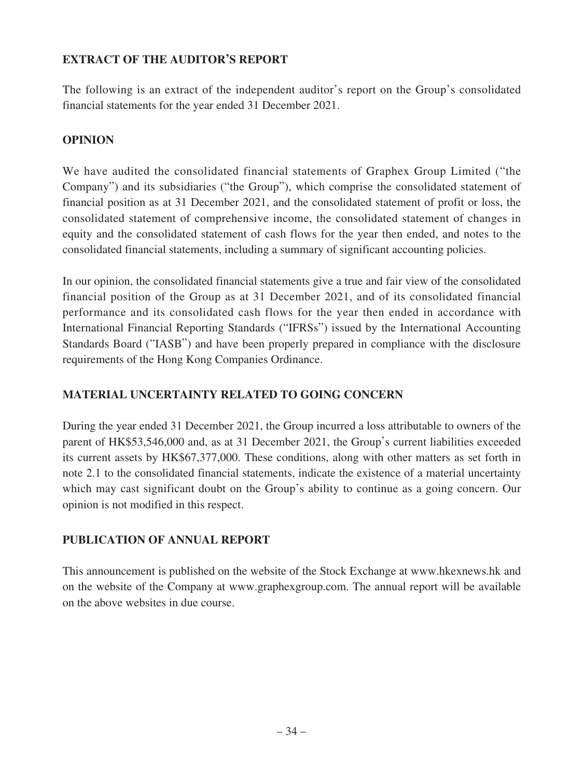# **EXTRACT OF THE AUDITOR'S REPORT**

The following is an extract of the independent auditor's report on the Group's consolidated financial statements for the year ended 31 December 2021.

# **OPINION**

We have audited the consolidated financial statements of Graphex Group Limited ("the Company") and its subsidiaries ("the Group"), which comprise the consolidated statement of financial position as at 31 December 2021, and the consolidated statement of profit or loss, the consolidated statement of comprehensive income, the consolidated statement of changes in equity and the consolidated statement of cash flows for the year then ended, and notes to the consolidated financial statements, including a summary of significant accounting policies.

In our opinion, the consolidated financial statements give a true and fair view of the consolidated financial position of the Group as at 31 December 2021, and of its consolidated financial performance and its consolidated cash flows for the year then ended in accordance with International Financial Reporting Standards ("IFRSs") issued by the International Accounting Standards Board ("IASB") and have been properly prepared in compliance with the disclosure requirements of the Hong Kong Companies Ordinance.

# **MATERIAL UNCERTAINTY RELATED TO GOING CONCERN**

During the year ended 31 December 2021, the Group incurred a loss attributable to owners of the parent of HK\$53,546,000 and, as at 31 December 2021, the Group's current liabilities exceeded its current assets by HK\$67,377,000. These conditions, along with other matters as set forth in note 2.1 to the consolidated financial statements, indicate the existence of a material uncertainty which may cast significant doubt on the Group's ability to continue as a going concern. Our opinion is not modified in this respect.

# **PUBLICATION OF ANNUAL REPORT**

This announcement is published on the website of the Stock Exchange at www.hkexnews.hk and on the website of the Company at www.graphexgroup.com. The annual report will be available on the above websites in due course.